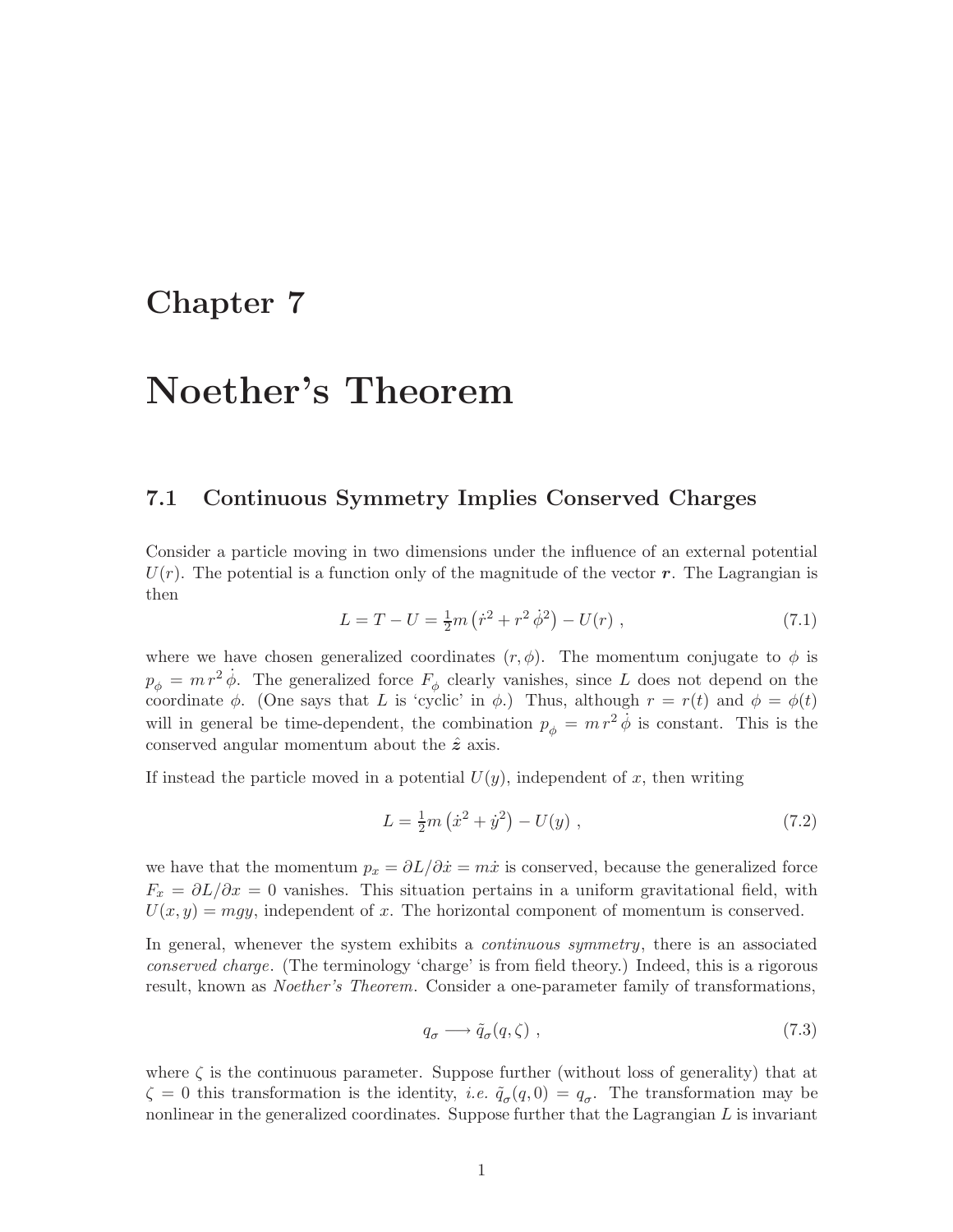## Chapter 7

# Noether's Theorem

#### 7.1 Continuous Symmetry Implies Conserved Charges

Consider a particle moving in two dimensions under the influence of an external potential  $U(r)$ . The potential is a function only of the magnitude of the vector r. The Lagrangian is then

$$
L = T - U = \frac{1}{2}m(\dot{r}^2 + r^2\dot{\phi}^2) - U(r) , \qquad (7.1)
$$

where we have chosen generalized coordinates  $(r, \phi)$ . The momentum conjugate to  $\phi$  is  $p_{\phi} = m r^2 \dot{\phi}$ . The generalized force  $F_{\phi}$  clearly vanishes, since L does not depend on the coordinate  $\phi$ . (One says that L is 'cyclic' in  $\phi$ .) Thus, although  $r = r(t)$  and  $\phi = \phi(t)$ will in general be time-dependent, the combination  $p_{\phi} = m r^2 \dot{\phi}$  is constant. This is the conserved angular momentum about the  $\hat{z}$  axis.

If instead the particle moved in a potential  $U(y)$ , independent of x, then writing

$$
L = \frac{1}{2}m(\dot{x}^2 + \dot{y}^2) - U(y) , \qquad (7.2)
$$

we have that the momentum  $p_x = \partial L/\partial \dot{x} = m\dot{x}$  is conserved, because the generalized force  $F_x = \partial L/\partial x = 0$  vanishes. This situation pertains in a uniform gravitational field, with  $U(x,y) = mgy$ , independent of x. The horizontal component of momentum is conserved.

In general, whenever the system exhibits a *continuous symmetry*, there is an associated conserved charge. (The terminology 'charge' is from field theory.) Indeed, this is a rigorous result, known as Noether's Theorem. Consider a one-parameter family of transformations,

$$
q_{\sigma} \longrightarrow \tilde{q}_{\sigma}(q,\zeta) , \qquad (7.3)
$$

where  $\zeta$  is the continuous parameter. Suppose further (without loss of generality) that at  $\zeta = 0$  this transformation is the identity, *i.e.*  $\tilde{q}_{\sigma}(q,0) = q_{\sigma}$ . The transformation may be nonlinear in the generalized coordinates. Suppose further that the Lagrangian  $L$  is invariant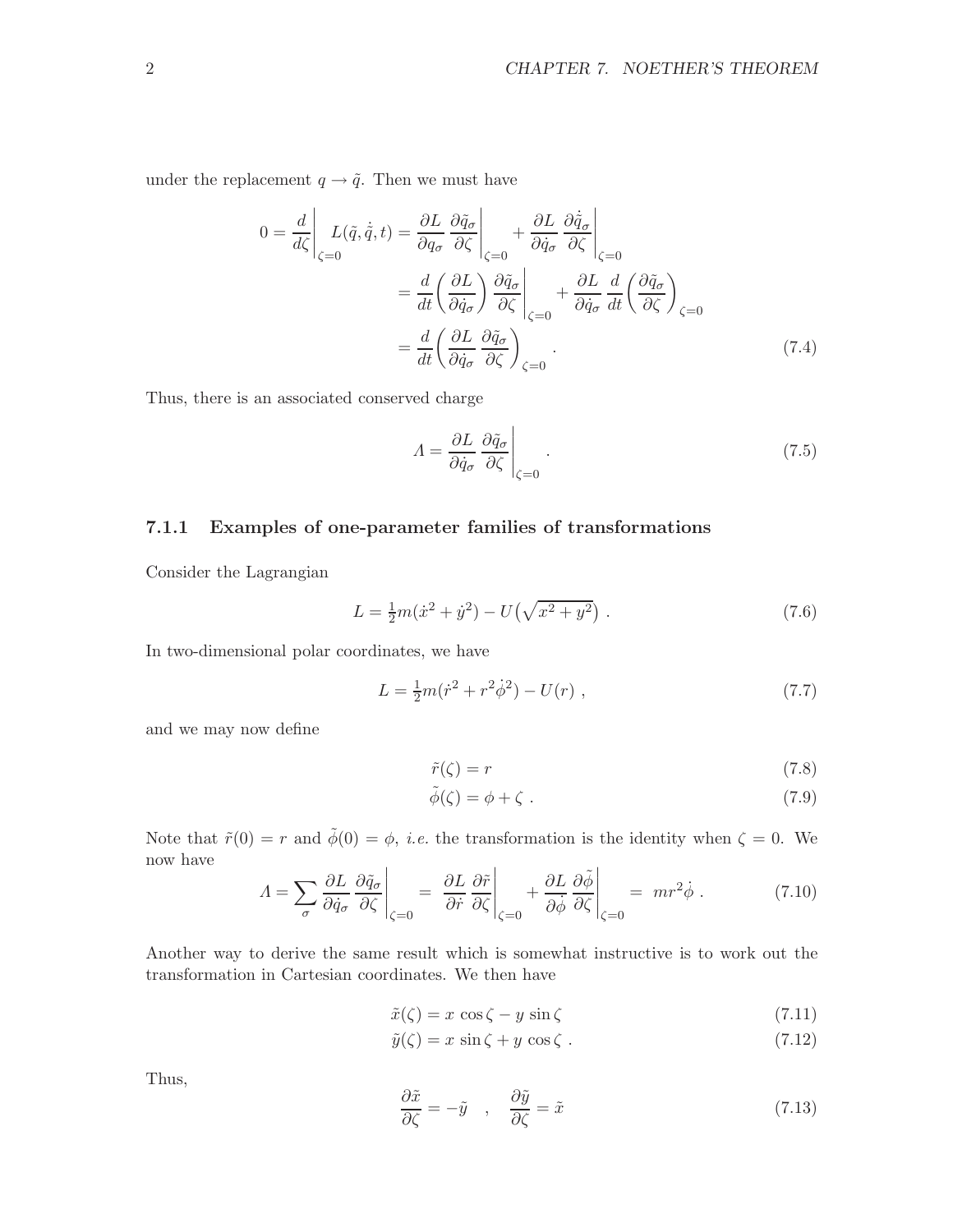under the replacement  $q \rightarrow \tilde{q}$ . Then we must have

$$
0 = \frac{d}{d\zeta} \left| L(\tilde{q}, \dot{\tilde{q}}, t) \right| = \frac{\partial L}{\partial q_{\sigma}} \frac{\partial \tilde{q}_{\sigma}}{\partial \zeta} \left|_{\zeta=0} + \frac{\partial L}{\partial \dot{q}_{\sigma}} \frac{\partial \dot{\tilde{q}}_{\sigma}}{\partial \zeta} \right|_{\zeta=0}
$$
  

$$
= \frac{d}{dt} \left( \frac{\partial L}{\partial \dot{q}_{\sigma}} \right) \frac{\partial \tilde{q}_{\sigma}}{\partial \zeta} \left|_{\zeta=0} + \frac{\partial L}{\partial \dot{q}_{\sigma}} \frac{d}{dt} \left( \frac{\partial \tilde{q}_{\sigma}}{\partial \zeta} \right)_{\zeta=0}
$$
  

$$
= \frac{d}{dt} \left( \frac{\partial L}{\partial \dot{q}_{\sigma}} \frac{\partial \tilde{q}_{\sigma}}{\partial \zeta} \right)_{\zeta=0} .
$$
(7.4)

Thus, there is an associated conserved charge

$$
\Lambda = \frac{\partial L}{\partial \dot{q}_{\sigma}} \frac{\partial \tilde{q}_{\sigma}}{\partial \zeta} \Big|_{\zeta=0}.
$$
\n(7.5)

#### 7.1.1 Examples of one-parameter families of transformations

Consider the Lagrangian

$$
L = \frac{1}{2}m(\dot{x}^2 + \dot{y}^2) - U(\sqrt{x^2 + y^2}).
$$
\n(7.6)

In two-dimensional polar coordinates, we have

$$
L = \frac{1}{2}m(\dot{r}^2 + r^2\dot{\phi}^2) - U(r) \tag{7.7}
$$

and we may now define

$$
\tilde{r}(\zeta) = r \tag{7.8}
$$

$$
\tilde{\phi}(\zeta) = \phi + \zeta \tag{7.9}
$$

Note that  $\tilde{r}(0) = r$  and  $\tilde{\phi}(0) = \phi$ , *i.e.* the transformation is the identity when  $\zeta = 0$ . We now have  $\sim$ 

$$
A = \sum_{\sigma} \frac{\partial L}{\partial \dot{q}_{\sigma}} \frac{\partial \tilde{q}_{\sigma}}{\partial \zeta}\Big|_{\zeta=0} = \left. \frac{\partial L}{\partial \dot{r}} \frac{\partial \tilde{r}}{\partial \zeta}\right|_{\zeta=0} + \left. \frac{\partial L}{\partial \dot{\phi}} \frac{\partial \tilde{\phi}}{\partial \zeta}\right|_{\zeta=0} = \left. mr^2 \dot{\phi} \right. . \tag{7.10}
$$

Another way to derive the same result which is somewhat instructive is to work out the transformation in Cartesian coordinates. We then have

$$
\tilde{x}(\zeta) = x \cos \zeta - y \sin \zeta \tag{7.11}
$$

$$
\tilde{y}(\zeta) = x \sin \zeta + y \cos \zeta . \tag{7.12}
$$

Thus,

$$
\frac{\partial \tilde{x}}{\partial \zeta} = -\tilde{y} \quad , \quad \frac{\partial \tilde{y}}{\partial \zeta} = \tilde{x} \tag{7.13}
$$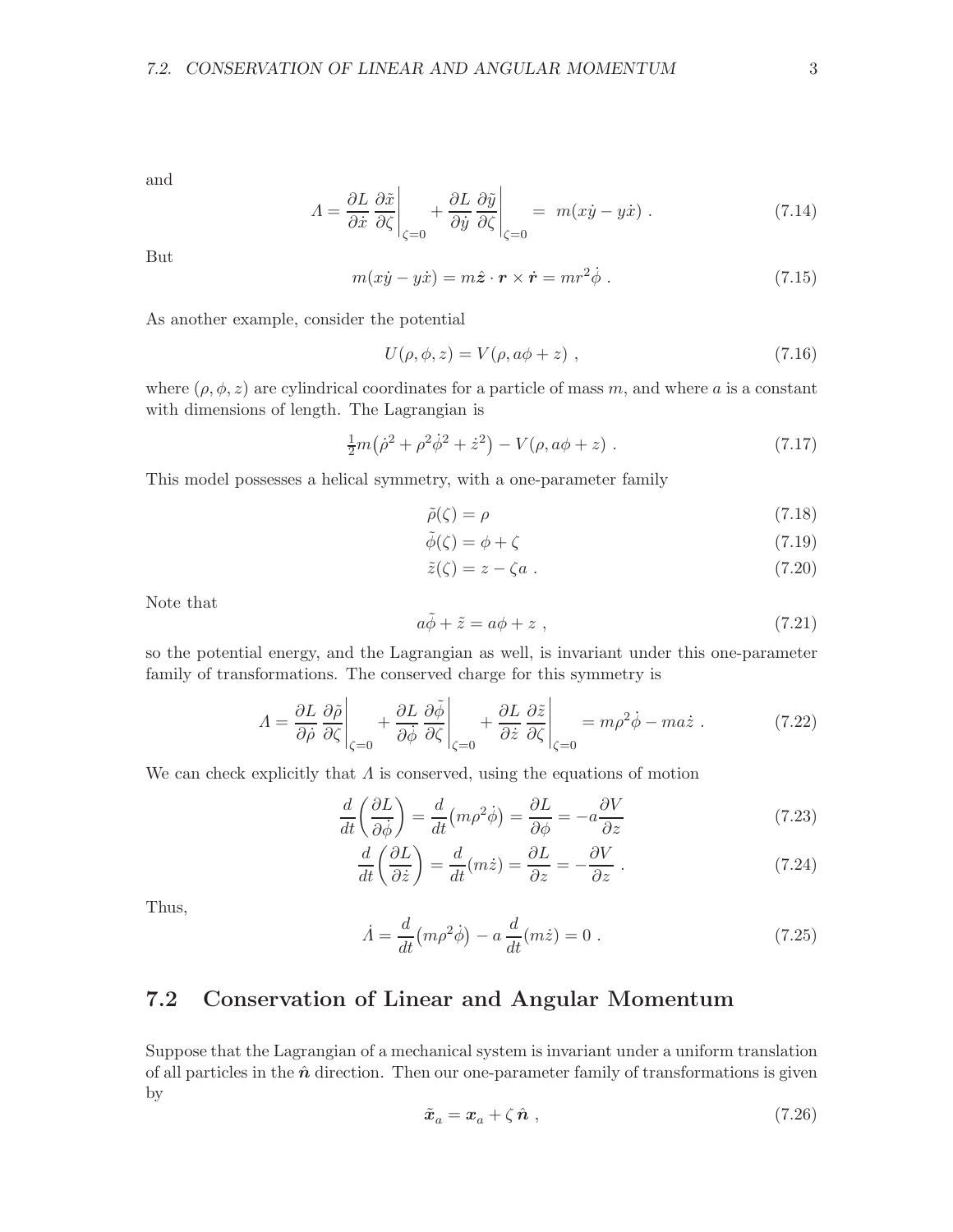and

$$
A = \frac{\partial L}{\partial \dot{x}} \left. \frac{\partial \tilde{x}}{\partial \zeta} \right|_{\zeta=0} + \left. \frac{\partial L}{\partial \dot{y}} \frac{\partial \tilde{y}}{\partial \zeta} \right|_{\zeta=0} = m(x\dot{y} - y\dot{x}) \ . \tag{7.14}
$$

But

$$
m(x\dot{y} - y\dot{x}) = m\hat{z} \cdot \mathbf{r} \times \dot{\mathbf{r}} = mr^2 \dot{\phi} . \tag{7.15}
$$

As another example, consider the potential

$$
U(\rho, \phi, z) = V(\rho, a\phi + z) , \qquad (7.16)
$$

where  $(\rho, \phi, z)$  are cylindrical coordinates for a particle of mass m, and where a is a constant with dimensions of length. The Lagrangian is

$$
\frac{1}{2}m(\dot{\rho}^2 + \rho^2 \dot{\phi}^2 + \dot{z}^2) - V(\rho, a\phi + z) \ . \tag{7.17}
$$

This model possesses a helical symmetry, with a one-parameter family

$$
\tilde{\rho}(\zeta) = \rho \tag{7.18}
$$

$$
\tilde{\phi}(\zeta) = \phi + \zeta \tag{7.19}
$$

$$
\tilde{z}(\zeta) = z - \zeta a \tag{7.20}
$$

Note that

$$
a\tilde{\phi} + \tilde{z} = a\phi + z \tag{7.21}
$$

so the potential energy, and the Lagrangian as well, is invariant under this one-parameter family of transformations. The conserved charge for this symmetry is

$$
A = \frac{\partial L}{\partial \dot{\rho}} \frac{\partial \tilde{\rho}}{\partial \zeta}\Big|_{\zeta=0} + \frac{\partial L}{\partial \dot{\phi}} \frac{\partial \tilde{\phi}}{\partial \zeta}\Big|_{\zeta=0} + \frac{\partial L}{\partial \dot{z}} \frac{\partial \tilde{z}}{\partial \zeta}\Big|_{\zeta=0} = m\rho^2 \dot{\phi} - ma\dot{z} . \tag{7.22}
$$

We can check explicitly that  $\Lambda$  is conserved, using the equations of motion

$$
\frac{d}{dt}\left(\frac{\partial L}{\partial \dot{\phi}}\right) = \frac{d}{dt}\left(m\rho^2\dot{\phi}\right) = \frac{\partial L}{\partial \phi} = -a\frac{\partial V}{\partial z} \tag{7.23}
$$

$$
\frac{d}{dt}\left(\frac{\partial L}{\partial \dot{z}}\right) = \frac{d}{dt}(m\dot{z}) = \frac{\partial L}{\partial z} = -\frac{\partial V}{\partial z}.
$$
\n(7.24)

Thus,

$$
\dot{A} = \frac{d}{dt}(m\rho^2\dot{\phi}) - a\frac{d}{dt}(m\dot{z}) = 0.
$$
\n(7.25)

## 7.2 Conservation of Linear and Angular Momentum

Suppose that the Lagrangian of a mechanical system is invariant under a uniform translation of all particles in the  $\hat{n}$  direction. Then our one-parameter family of transformations is given by

$$
\tilde{x}_a = x_a + \zeta \,\hat{n} \tag{7.26}
$$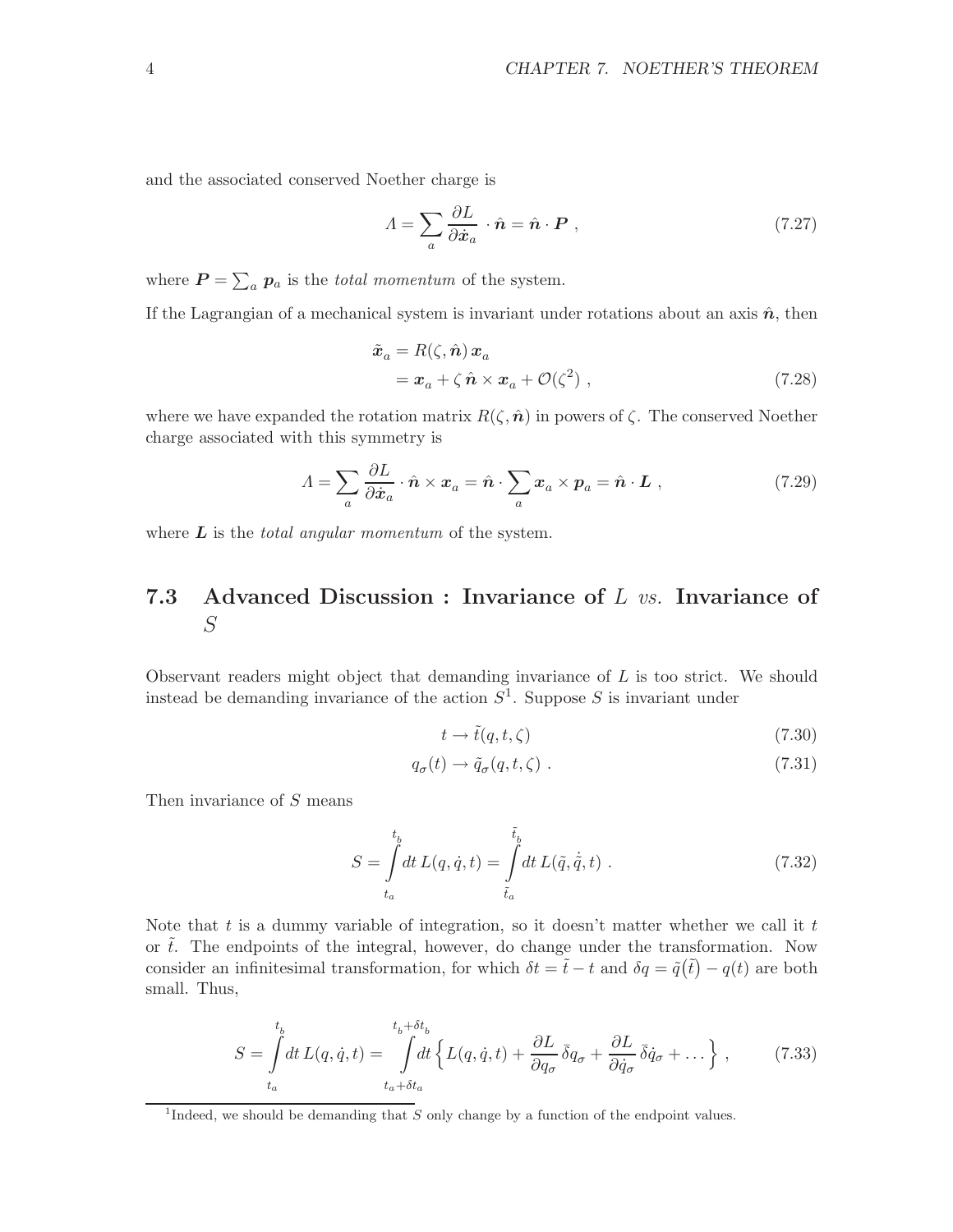and the associated conserved Noether charge is

$$
A = \sum_{a} \frac{\partial L}{\partial \dot{x}_a} \cdot \hat{n} = \hat{n} \cdot \boldsymbol{P} \tag{7.27}
$$

where  $P = \sum_a p_a$  is the *total momentum* of the system.

If the Lagrangian of a mechanical system is invariant under rotations about an axis  $\hat{n}$ , then

$$
\tilde{x}_a = R(\zeta, \hat{n}) x_a \n= x_a + \zeta \hat{n} \times x_a + \mathcal{O}(\zeta^2) ,
$$
\n(7.28)

where we have expanded the rotation matrix  $R(\zeta, \hat{\boldsymbol{n}})$  in powers of  $\zeta$ . The conserved Noether charge associated with this symmetry is

$$
A = \sum_{a} \frac{\partial L}{\partial \dot{x}_a} \cdot \hat{n} \times x_a = \hat{n} \cdot \sum_{a} x_a \times p_a = \hat{n} \cdot L , \qquad (7.29)
$$

where  $\boldsymbol{L}$  is the *total angular momentum* of the system.

## 7.3 Advanced Discussion : Invariance of L vs. Invariance of S

Observant readers might object that demanding invariance of L is too strict. We should instead be demanding invariance of the action  $S<sup>1</sup>$ . Suppose S is invariant under

$$
t \to \tilde{t}(q, t, \zeta) \tag{7.30}
$$

$$
q_{\sigma}(t) \to \tilde{q}_{\sigma}(q, t, \zeta) \tag{7.31}
$$

Then invariance of S means

$$
S = \int_{t_a}^{t_b} dt \, L(q, \dot{q}, t) = \int_{\tilde{t}_a}^{\tilde{t}_b} dt \, L(\tilde{q}, \dot{\tilde{q}}, t) \,. \tag{7.32}
$$

Note that t is a dummy variable of integration, so it doesn't matter whether we call it t or  $\tilde{t}$ . The endpoints of the integral, however, do change under the transformation. Now consider an infinitesimal transformation, for which  $\delta t = \tilde{t} - t$  and  $\delta q = \tilde{q}(\tilde{t}) - q(t)$  are both small. Thus,

$$
S = \int_{t_a}^{t_b} dt L(q, \dot{q}, t) = \int_{t_a + \delta t_a}^{t_b + \delta t_b} dt \left\{ L(q, \dot{q}, t) + \frac{\partial L}{\partial q_{\sigma}} \bar{\delta} q_{\sigma} + \frac{\partial L}{\partial \dot{q}_{\sigma}} \bar{\delta} \dot{q}_{\sigma} + \dots \right\},
$$
(7.33)

<sup>&</sup>lt;sup>1</sup>Indeed, we should be demanding that  $S$  only change by a function of the endpoint values.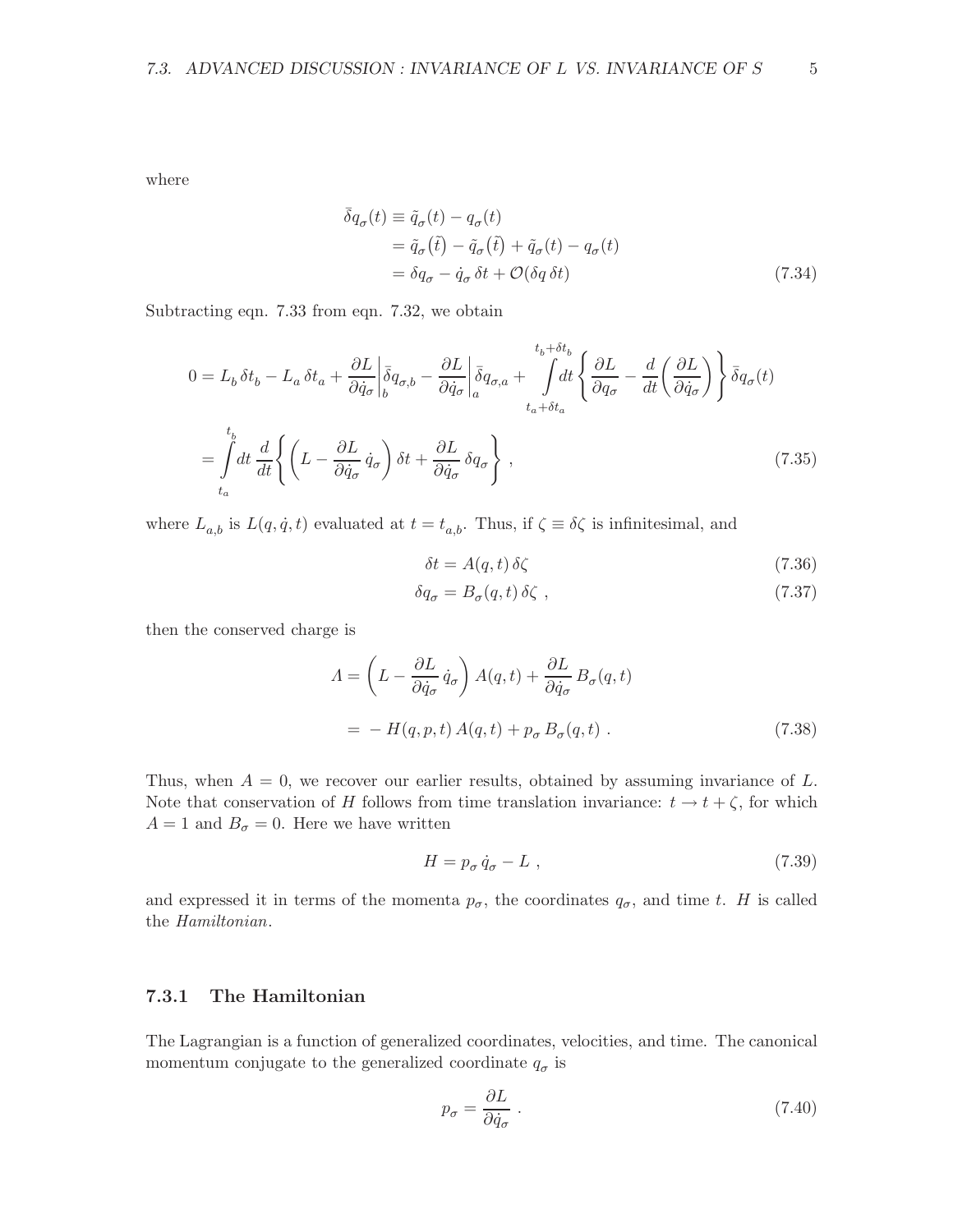where

$$
\begin{aligned}\n\bar{\delta}q_{\sigma}(t) &\equiv \tilde{q}_{\sigma}(t) - q_{\sigma}(t) \\
&= \tilde{q}_{\sigma}(\tilde{t}) - \tilde{q}_{\sigma}(\tilde{t}) + \tilde{q}_{\sigma}(t) - q_{\sigma}(t) \\
&= \delta q_{\sigma} - \dot{q}_{\sigma} \,\delta t + \mathcal{O}(\delta q \,\delta t)\n\end{aligned} \tag{7.34}
$$

Subtracting eqn. 7.33 from eqn. 7.32, we obtain

$$
0 = L_b \delta t_b - L_a \delta t_a + \frac{\partial L}{\partial \dot{q}_\sigma} \left| \bar{\delta} q_{\sigma,b} - \frac{\partial L}{\partial \dot{q}_\sigma} \right|_{a} \bar{\delta} q_{\sigma,a} + \int_{t_a + \delta t_a}^{t_b + \delta t_b} dt \left\{ \frac{\partial L}{\partial q_\sigma} - \frac{d}{dt} \left( \frac{\partial L}{\partial \dot{q}_\sigma} \right) \right\} \bar{\delta} q_\sigma(t)
$$

$$
= \int_{t_a}^{t_b} dt \frac{d}{dt} \left\{ \left( L - \frac{\partial L}{\partial \dot{q}_\sigma} \dot{q}_\sigma \right) \delta t + \frac{\partial L}{\partial \dot{q}_\sigma} \delta q_\sigma \right\}, \tag{7.35}
$$

where  $L_{a,b}$  is  $L(q, \dot{q}, t)$  evaluated at  $t = t_{a,b}$ . Thus, if  $\zeta \equiv \delta \zeta$  is infinitesimal, and

$$
\delta t = A(q, t) \,\delta \zeta \tag{7.36}
$$

$$
\delta q_{\sigma} = B_{\sigma}(q, t) \,\delta \zeta \tag{7.37}
$$

then the conserved charge is

$$
A = \left( L - \frac{\partial L}{\partial \dot{q}_{\sigma}} \dot{q}_{\sigma} \right) A(q, t) + \frac{\partial L}{\partial \dot{q}_{\sigma}} B_{\sigma}(q, t)
$$
  
= 
$$
- H(q, p, t) A(q, t) + p_{\sigma} B_{\sigma}(q, t) .
$$
 (7.38)

Thus, when  $A = 0$ , we recover our earlier results, obtained by assuming invariance of L. Note that conservation of H follows from time translation invariance:  $t \to t + \zeta$ , for which  $A = 1$  and  $B_{\sigma} = 0$ . Here we have written

$$
H = p_{\sigma} \dot{q}_{\sigma} - L \t{,} \t(7.39)
$$

and expressed it in terms of the momenta  $p_{\sigma}$ , the coordinates  $q_{\sigma}$ , and time t. H is called the Hamiltonian.

#### 7.3.1 The Hamiltonian

The Lagrangian is a function of generalized coordinates, velocities, and time. The canonical momentum conjugate to the generalized coordinate  $q_{\sigma}$  is

$$
p_{\sigma} = \frac{\partial L}{\partial \dot{q}_{\sigma}} \tag{7.40}
$$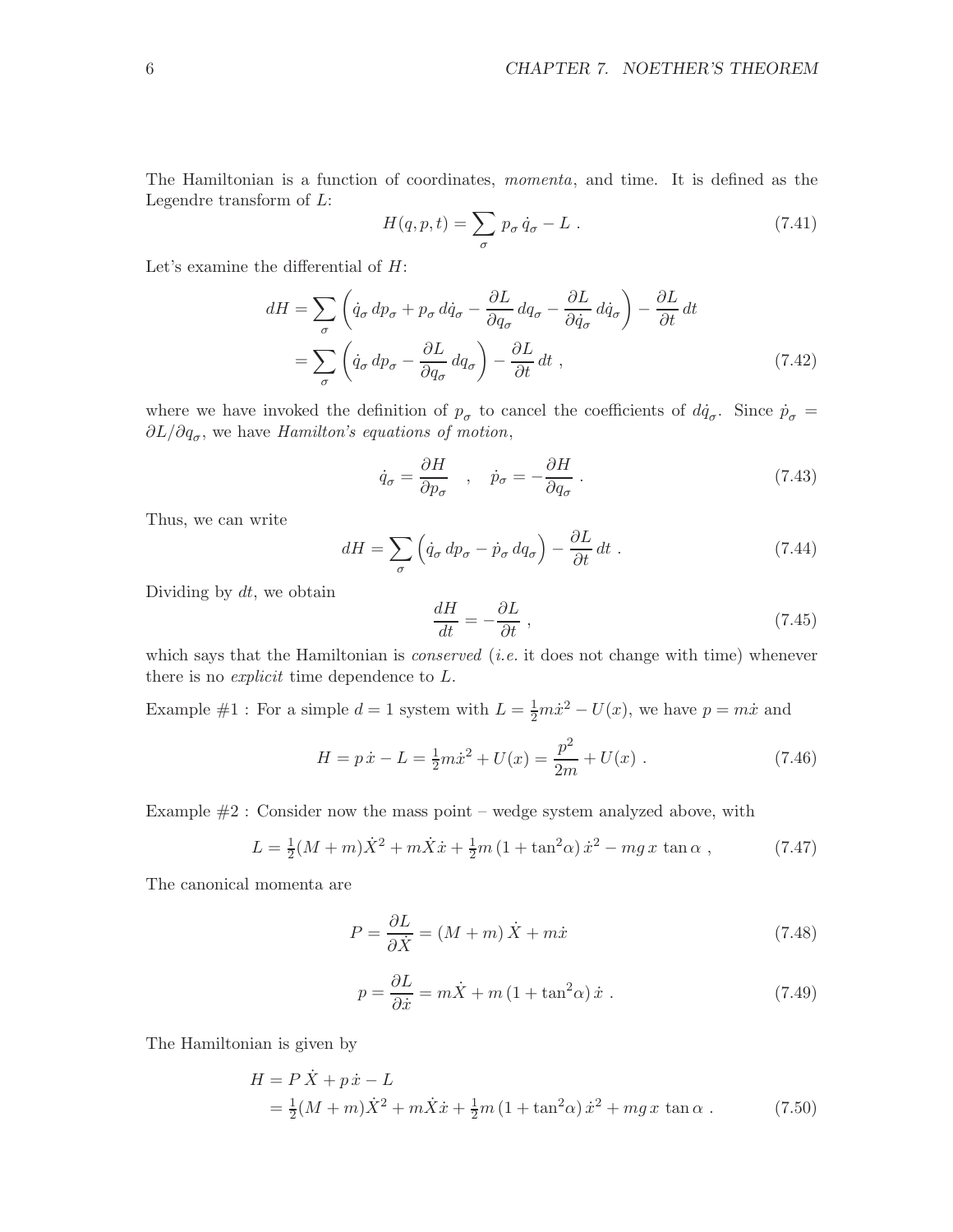The Hamiltonian is a function of coordinates, momenta, and time. It is defined as the Legendre transform of L:

$$
H(q, p, t) = \sum_{\sigma} p_{\sigma} \dot{q}_{\sigma} - L . \qquad (7.41)
$$

Let's examine the differential of  $H$ :

$$
dH = \sum_{\sigma} \left( \dot{q}_{\sigma} \, dp_{\sigma} + p_{\sigma} \, d\dot{q}_{\sigma} - \frac{\partial L}{\partial q_{\sigma}} \, dq_{\sigma} - \frac{\partial L}{\partial \dot{q}_{\sigma}} \, d\dot{q}_{\sigma} \right) - \frac{\partial L}{\partial t} \, dt
$$

$$
= \sum_{\sigma} \left( \dot{q}_{\sigma} \, dp_{\sigma} - \frac{\partial L}{\partial q_{\sigma}} \, dq_{\sigma} \right) - \frac{\partial L}{\partial t} \, dt \tag{7.42}
$$

where we have invoked the definition of  $p_{\sigma}$  to cancel the coefficients of  $d\dot{q}_{\sigma}$ . Since  $\dot{p}_{\sigma}$  =  $\partial L/\partial q_{\sigma}$ , we have Hamilton's equations of motion,

$$
\dot{q}_{\sigma} = \frac{\partial H}{\partial p_{\sigma}} \quad , \quad \dot{p}_{\sigma} = -\frac{\partial H}{\partial q_{\sigma}} \quad . \tag{7.43}
$$

Thus, we can write

$$
dH = \sum_{\sigma} \left( \dot{q}_{\sigma} \, dp_{\sigma} - \dot{p}_{\sigma} \, dq_{\sigma} \right) - \frac{\partial L}{\partial t} \, dt \tag{7.44}
$$

Dividing by  $dt$ , we obtain

$$
\frac{dH}{dt} = -\frac{\partial L}{\partial t} \,,\tag{7.45}
$$

which says that the Hamiltonian is *conserved* (*i.e.* it does not change with time) whenever there is no explicit time dependence to L.

Example #1: For a simple  $d = 1$  system with  $L = \frac{1}{2}m\dot{x}^2 - U(x)$ , we have  $p = m\dot{x}$  and

$$
H = p\,\dot{x} - L = \frac{1}{2}m\dot{x}^2 + U(x) = \frac{p^2}{2m} + U(x) \; . \tag{7.46}
$$

Example  $#2$ : Consider now the mass point – wedge system analyzed above, with

$$
L = \frac{1}{2}(M+m)\dot{X}^2 + m\dot{X}\dot{x} + \frac{1}{2}m\left(1 + \tan^2\alpha\right)\dot{x}^2 - mg\,x\,\tan\alpha\,,\tag{7.47}
$$

The canonical momenta are

$$
P = \frac{\partial L}{\partial \dot{X}} = (M+m)\dot{X} + m\dot{x}
$$
\n(7.48)

$$
p = \frac{\partial L}{\partial \dot{x}} = m\dot{X} + m\left(1 + \tan^2\alpha\right)\dot{x} \tag{7.49}
$$

The Hamiltonian is given by

$$
H = P \dot{X} + p \dot{x} - L
$$
  
=  $\frac{1}{2} (M + m) \dot{X}^2 + m \dot{X} \dot{x} + \frac{1}{2} m (1 + \tan^2 \alpha) \dot{x}^2 + mg x \tan \alpha$ . (7.50)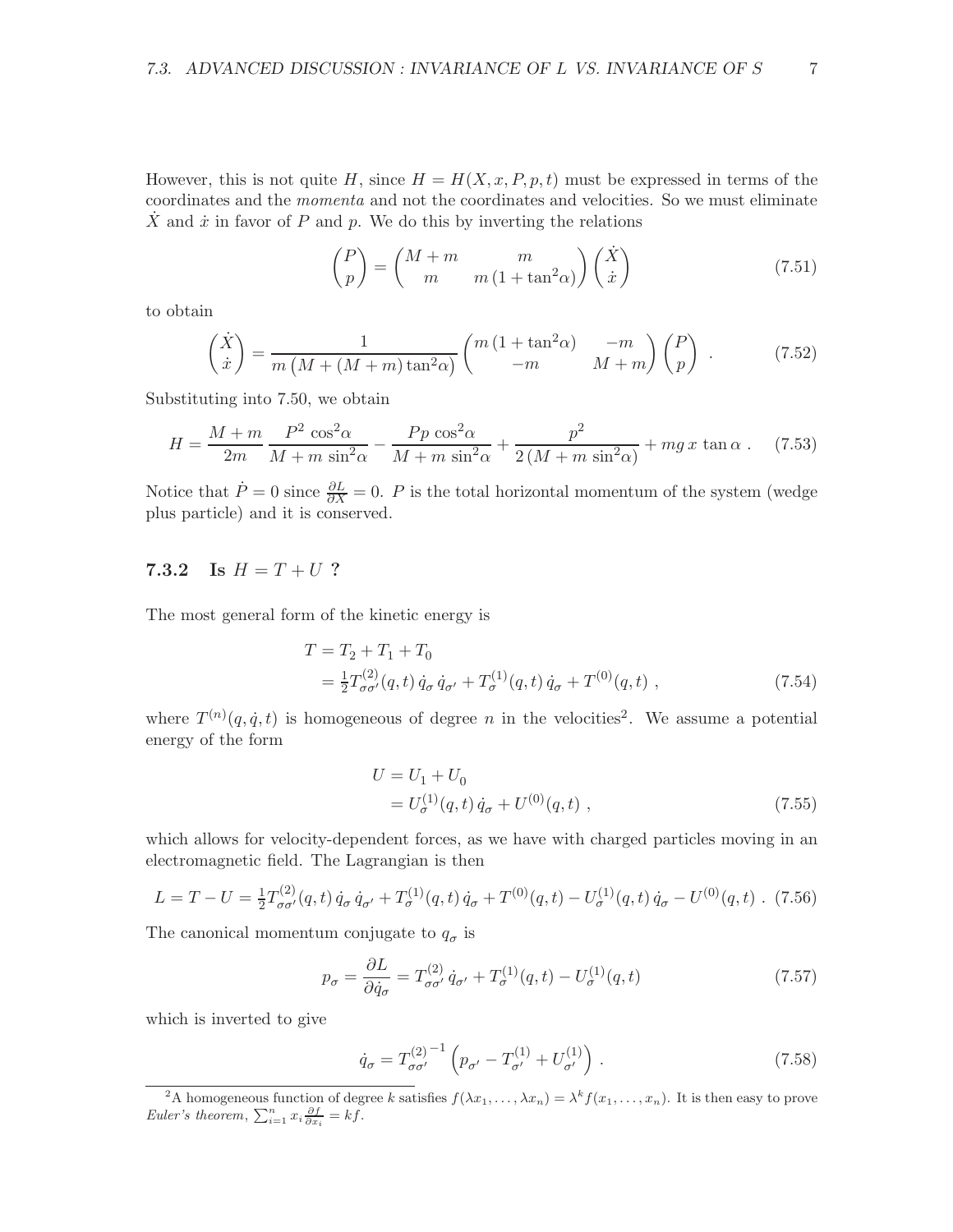However, this is not quite H, since  $H = H(X, x, P, p, t)$  must be expressed in terms of the coordinates and the momenta and not the coordinates and velocities. So we must eliminate X and  $\dot{x}$  in favor of P and p. We do this by inverting the relations

$$
\begin{pmatrix} P \\ p \end{pmatrix} = \begin{pmatrix} M+m & m \\ m & m(1+\tan^2\alpha) \end{pmatrix} \begin{pmatrix} \dot{X} \\ \dot{x} \end{pmatrix}
$$
\n(7.51)

to obtain

$$
\begin{pmatrix} \dot{X} \\ \dot{x} \end{pmatrix} = \frac{1}{m \left( M + (M+m) \tan^2 \alpha \right)} \begin{pmatrix} m \left( 1 + \tan^2 \alpha \right) & -m \\ -m & M + m \end{pmatrix} \begin{pmatrix} P \\ p \end{pmatrix} . \tag{7.52}
$$

Substituting into 7.50, we obtain

$$
H = \frac{M+m}{2m} \frac{P^2 \cos^2 \alpha}{M+m \sin^2 \alpha} - \frac{Pp \cos^2 \alpha}{M+m \sin^2 \alpha} + \frac{p^2}{2\left(M+m \sin^2 \alpha\right)} + mg \, x \tan \alpha \,. \tag{7.53}
$$

Notice that  $\dot{P} = 0$  since  $\frac{\partial L}{\partial X} = 0$ . P is the total horizontal momentum of the system (wedge plus particle) and it is conserved.

#### 7.3.2 Is  $H = T + U$ ?

The most general form of the kinetic energy is

$$
T = T_2 + T_1 + T_0
$$
  
=  $\frac{1}{2} T_{\sigma\sigma'}^{(2)}(q, t) \dot{q}_\sigma \dot{q}_{\sigma'} + T_{\sigma}^{(1)}(q, t) \dot{q}_\sigma + T^{(0)}(q, t)$ , (7.54)

where  $T^{(n)}(q, \dot{q}, t)$  is homogeneous of degree n in the velocities<sup>2</sup>. We assume a potential energy of the form

$$
U = U_1 + U_0
$$
  
=  $U_{\sigma}^{(1)}(q, t) \dot{q}_{\sigma} + U^{(0)}(q, t)$ , (7.55)

which allows for velocity-dependent forces, as we have with charged particles moving in an electromagnetic field. The Lagrangian is then

$$
L = T - U = \frac{1}{2} T^{(2)}_{\sigma\sigma'}(q, t) \dot{q}_{\sigma} \dot{q}_{\sigma'} + T^{(1)}_{\sigma}(q, t) \dot{q}_{\sigma} + T^{(0)}(q, t) - U^{(1)}_{\sigma}(q, t) \dot{q}_{\sigma} - U^{(0)}(q, t) \ . \tag{7.56}
$$

The canonical momentum conjugate to  $q_{\sigma}$  is

$$
p_{\sigma} = \frac{\partial L}{\partial \dot{q}_{\sigma}} = T_{\sigma\sigma'}^{(2)} \dot{q}_{\sigma'} + T_{\sigma}^{(1)}(q, t) - U_{\sigma}^{(1)}(q, t)
$$
\n(7.57)

which is inverted to give

$$
\dot{q}_{\sigma} = T_{\sigma\sigma'}^{(2)}{}^{-1} \left( p_{\sigma'} - T_{\sigma'}^{(1)} + U_{\sigma'}^{(1)} \right) . \tag{7.58}
$$

<sup>&</sup>lt;sup>2</sup>A homogeneous function of degree k satisfies  $f(\lambda x_1, \ldots, \lambda x_n) = \lambda^k f(x_1, \ldots, x_n)$ . It is then easy to prove Euler's theorem,  $\sum_{i=1}^{n} x_i \frac{\partial f}{\partial x_i} = kf.$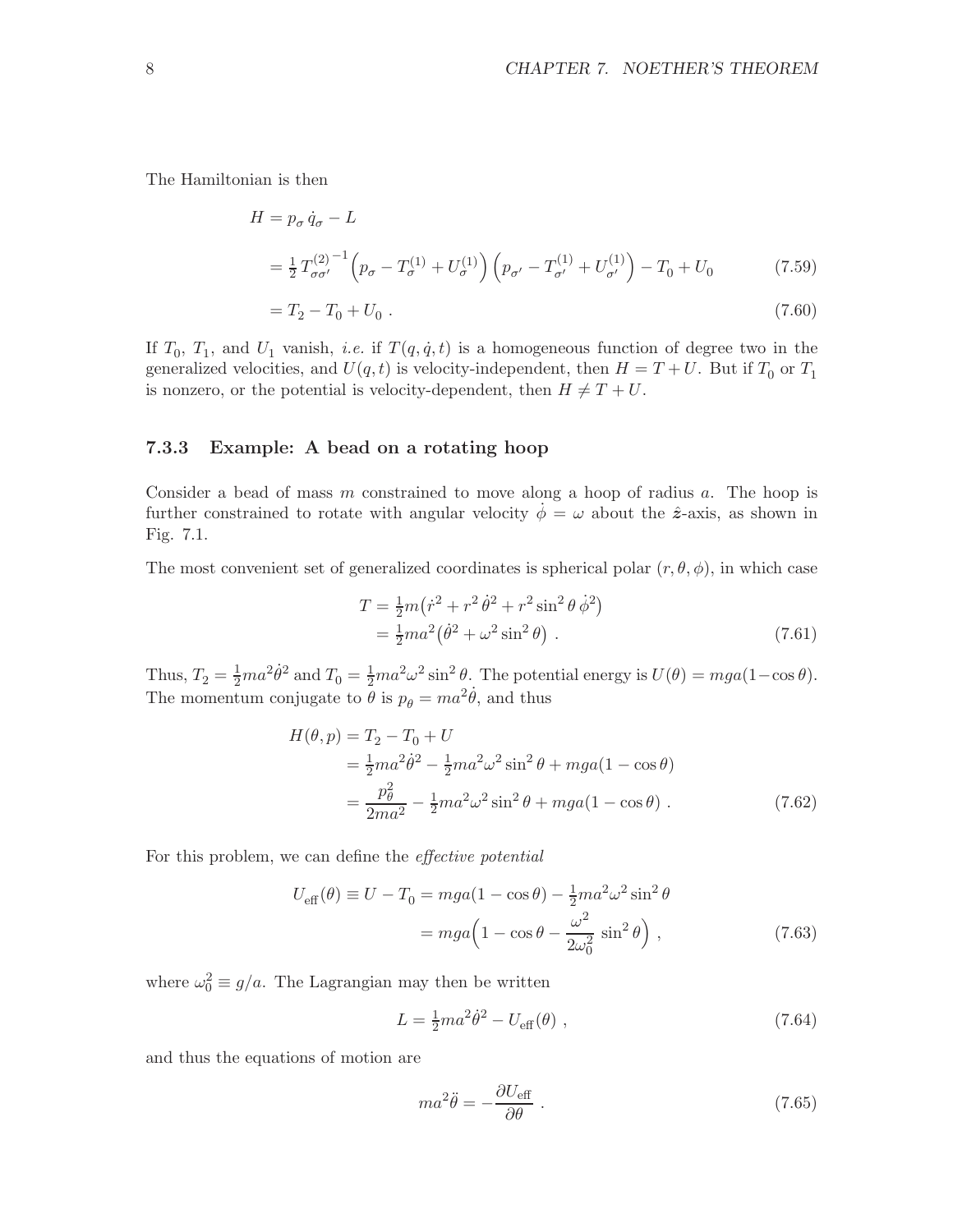The Hamiltonian is then

$$
H = p_{\sigma} \dot{q}_{\sigma} - L
$$
  
=  $\frac{1}{2} T_{\sigma \sigma'}^{(2)^{-1}} \left( p_{\sigma} - T_{\sigma}^{(1)} + U_{\sigma}^{(1)} \right) \left( p_{\sigma'} - T_{\sigma'}^{(1)} + U_{\sigma'}^{(1)} \right) - T_0 + U_0$  (7.59)

$$
= T_2 - T_0 + U_0 \tag{7.60}
$$

If  $T_0$ ,  $T_1$ , and  $U_1$  vanish, *i.e.* if  $T(q, \dot{q}, t)$  is a homogeneous function of degree two in the generalized velocities, and  $U(q,t)$  is velocity-independent, then  $H = T + U$ . But if  $T_0$  or  $T_1$ is nonzero, or the potential is velocity-dependent, then  $H \neq T + U$ .

#### 7.3.3 Example: A bead on a rotating hoop

Consider a bead of mass  $m$  constrained to move along a hoop of radius  $a$ . The hoop is further constrained to rotate with angular velocity  $\dot{\phi} = \omega$  about the  $\hat{z}$ -axis, as shown in Fig. 7.1.

The most convenient set of generalized coordinates is spherical polar  $(r, \theta, \phi)$ , in which case

$$
T = \frac{1}{2}m(\dot{r}^2 + r^2\dot{\theta}^2 + r^2\sin^2{\theta}\dot{\phi}^2)
$$
  
=  $\frac{1}{2}ma^2(\dot{\theta}^2 + \omega^2\sin^2{\theta})$ . (7.61)

Thus,  $T_2 = \frac{1}{2}ma^2\dot{\theta}^2$  and  $T_0 = \frac{1}{2}ma^2\omega^2\sin^2\theta$ . The potential energy is  $U(\theta) = mga(1-\cos\theta)$ . The momentum conjugate to  $\ddot{\theta}$  is  $p_{\theta} = ma^2 \dot{\theta}$ , and thus

$$
H(\theta, p) = T_2 - T_0 + U
$$
  
=  $\frac{1}{2}ma^2\dot{\theta}^2 - \frac{1}{2}ma^2\omega^2\sin^2\theta + mga(1 - \cos\theta)$   
=  $\frac{p_\theta^2}{2ma^2} - \frac{1}{2}ma^2\omega^2\sin^2\theta + mga(1 - \cos\theta)$ . (7.62)

For this problem, we can define the effective potential

$$
U_{\text{eff}}(\theta) \equiv U - T_0 = mga(1 - \cos\theta) - \frac{1}{2}ma^2\omega^2\sin^2\theta
$$
  
=  $mga\left(1 - \cos\theta - \frac{\omega^2}{2\omega_0^2}\sin^2\theta\right)$ , (7.63)

where  $\omega_0^2 \equiv g/a$ . The Lagrangian may then be written

$$
L = \frac{1}{2}ma^2\dot{\theta}^2 - U_{\text{eff}}(\theta) , \qquad (7.64)
$$

and thus the equations of motion are

$$
ma^2\ddot{\theta} = -\frac{\partial U_{\text{eff}}}{\partial \theta} \ . \tag{7.65}
$$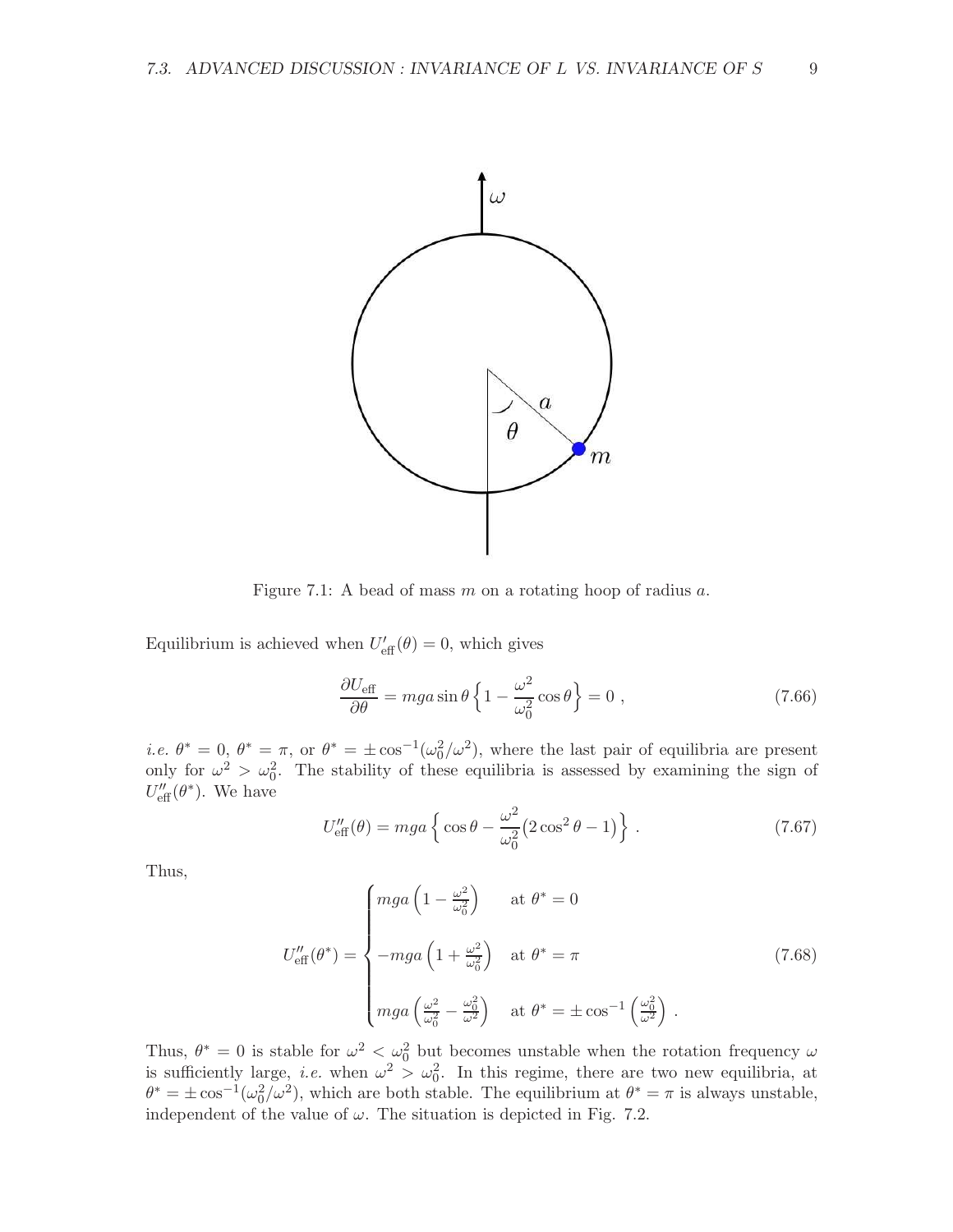

Figure 7.1: A bead of mass  $m$  on a rotating hoop of radius  $a$ .

Equilibrium is achieved when  $U'_{\text{eff}}(\theta) = 0$ , which gives

$$
\frac{\partial U_{\text{eff}}}{\partial \theta} = mga \sin \theta \left\{ 1 - \frac{\omega^2}{\omega_0^2} \cos \theta \right\} = 0 ,\qquad (7.66)
$$

*i.e.*  $\theta^* = 0$ ,  $\theta^* = \pi$ , or  $\theta^* = \pm \cos^{-1}(\omega_0^2/\omega^2)$ , where the last pair of equilibria are present only for  $\omega^2 > \omega_0^2$ . The stability of these equilibria is assessed by examining the sign of  $U''_{\text{eff}}(\theta^*)$ . We have

$$
U''_{\text{eff}}(\theta) = mga \left\{ \cos \theta - \frac{\omega^2}{\omega_0^2} (2 \cos^2 \theta - 1) \right\}.
$$
 (7.67)

Thus,

$$
U''_{\text{eff}}(\theta^*) = \begin{cases} mga\left(1 - \frac{\omega^2}{\omega_0^2}\right) & \text{at } \theta^* = 0\\ \n-mga\left(1 + \frac{\omega^2}{\omega_0^2}\right) & \text{at } \theta^* = \pi\\ \nmga\left(\frac{\omega^2}{\omega_0^2} - \frac{\omega_0^2}{\omega^2}\right) & \text{at } \theta^* = \pm \cos^{-1}\left(\frac{\omega_0^2}{\omega^2}\right) \end{cases}
$$
(7.68)

Thus,  $\theta^* = 0$  is stable for  $\omega^2 < \omega_0^2$  but becomes unstable when the rotation frequency  $\omega$ is sufficiently large, *i.e.* when  $\omega^2 > \omega_0^2$ . In this regime, there are two new equilibria, at  $\theta^* = \pm \cos^{-1}(\omega_0^2/\omega^2)$ , which are both stable. The equilibrium at  $\theta^* = \pi$  is always unstable, independent of the value of  $\omega$ . The situation is depicted in Fig. 7.2.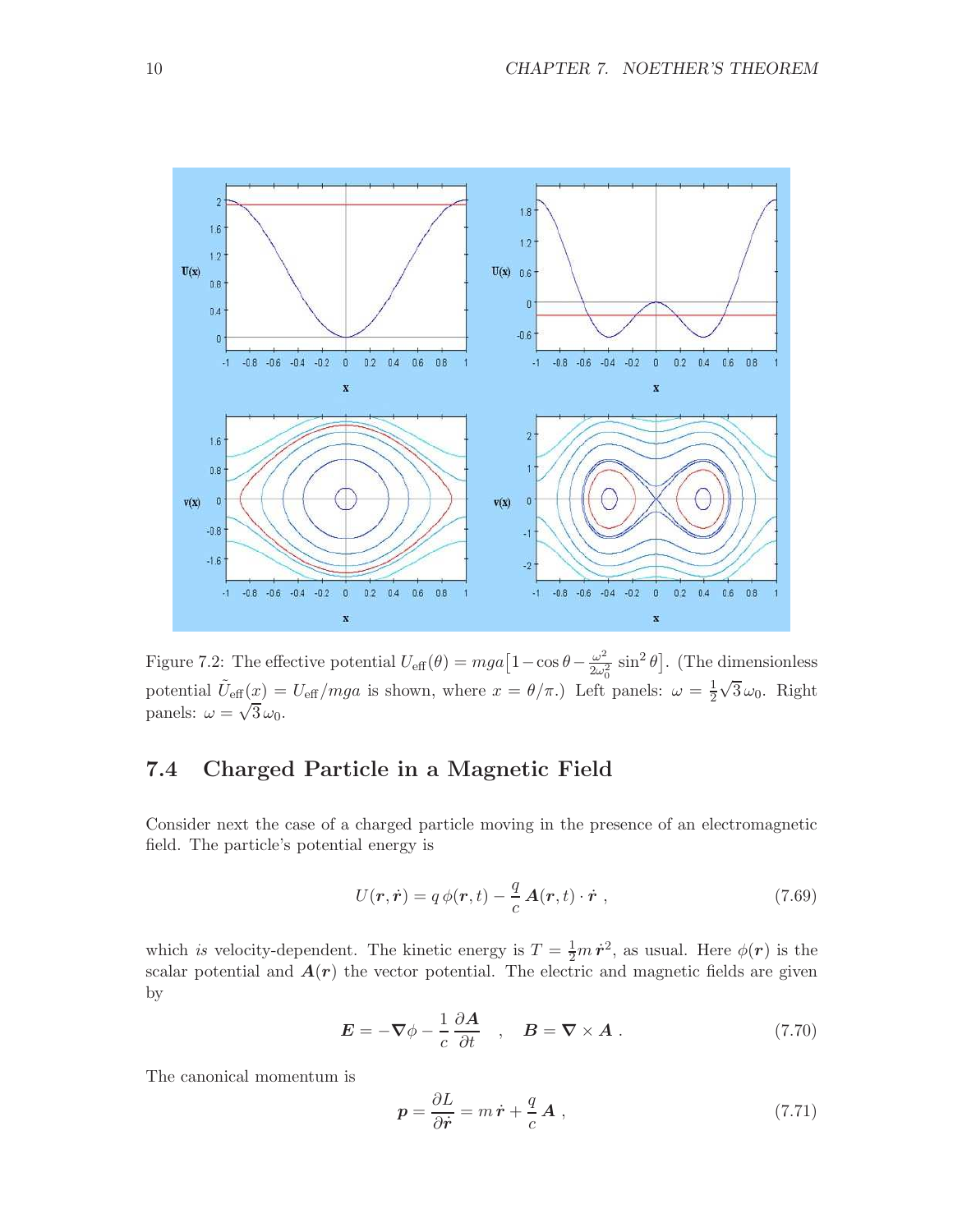

Figure 7.2: The effective potential  $U_{\text{eff}}(\theta) = mga \left[1 - \cos \theta - \frac{\omega^2}{2\omega_0^2}\right]$  $\frac{\omega^2}{2\omega_0^2} \sin^2 \theta$ . (The dimensionless potential  $\tilde{U}_{\text{eff}}(x) = U_{\text{eff}}/mga$  is shown, where  $x = \theta/\pi$ .) Left panels:  $\omega = \frac{1}{2}$ 2  $\sqrt{3}\omega_0$ . Right panels:  $\omega = \sqrt{3} \omega_0$ .

## 7.4 Charged Particle in a Magnetic Field

Consider next the case of a charged particle moving in the presence of an electromagnetic field. The particle's potential energy is

$$
U(\mathbf{r}, \dot{\mathbf{r}}) = q \phi(\mathbf{r}, t) - \frac{q}{c} \mathbf{A}(\mathbf{r}, t) \cdot \dot{\mathbf{r}} \,, \tag{7.69}
$$

which is velocity-dependent. The kinetic energy is  $T = \frac{1}{2}m\dot{r}^2$ , as usual. Here  $\phi(r)$  is the scalar potential and  $A(r)$  the vector potential. The electric and magnetic fields are given by

$$
\mathbf{E} = -\nabla \phi - \frac{1}{c} \frac{\partial \mathbf{A}}{\partial t} , \quad \mathbf{B} = \nabla \times \mathbf{A} . \tag{7.70}
$$

The canonical momentum is

$$
p = \frac{\partial L}{\partial \dot{r}} = m \dot{r} + \frac{q}{c} \mathbf{A} , \qquad (7.71)
$$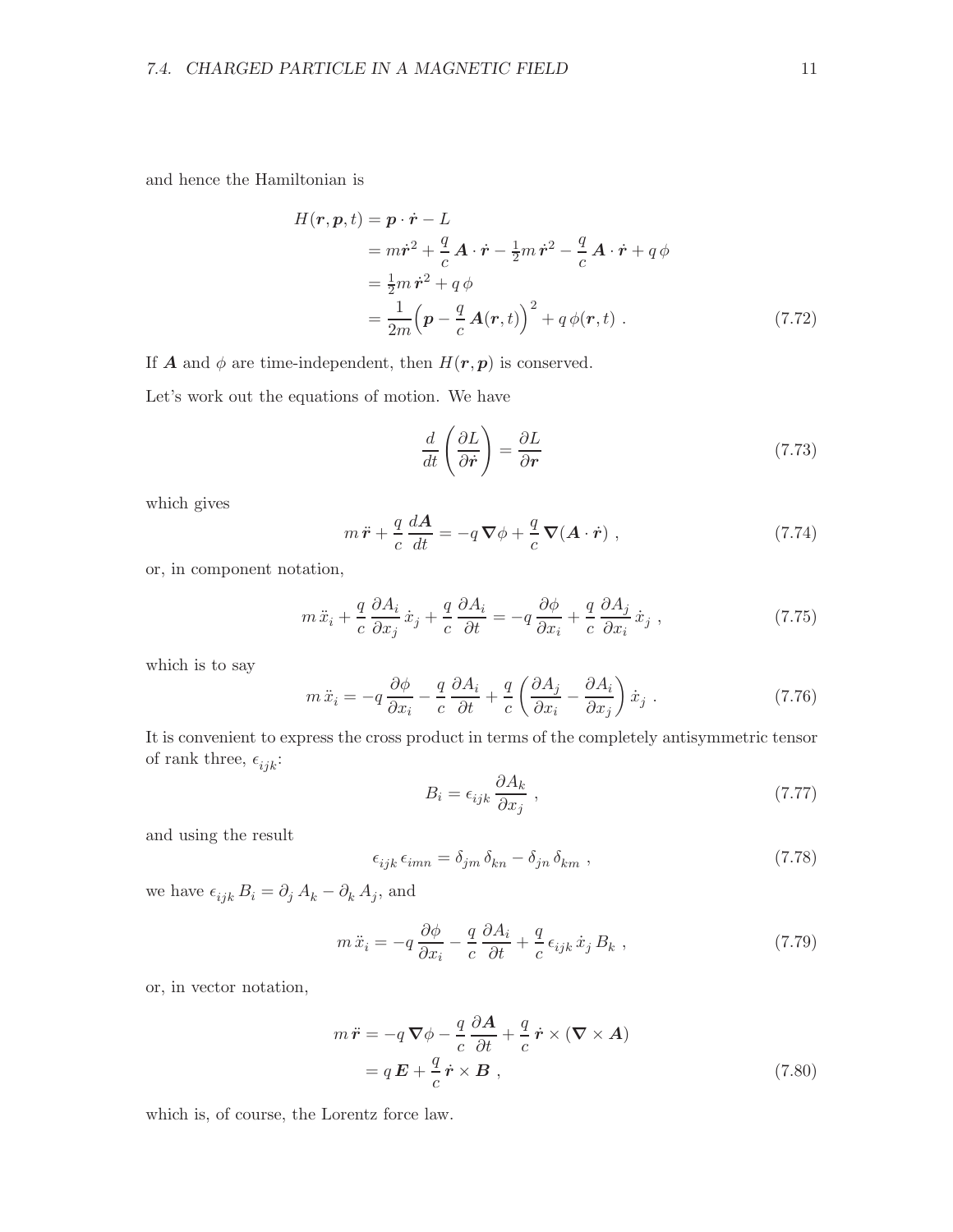and hence the Hamiltonian is

$$
H(\mathbf{r}, \mathbf{p}, t) = \mathbf{p} \cdot \dot{\mathbf{r}} - L
$$
  
=  $m\dot{\mathbf{r}}^2 + \frac{q}{c}\mathbf{A} \cdot \dot{\mathbf{r}} - \frac{1}{2}m\dot{\mathbf{r}}^2 - \frac{q}{c}\mathbf{A} \cdot \dot{\mathbf{r}} + q\phi$   
=  $\frac{1}{2}m\dot{\mathbf{r}}^2 + q\phi$   
=  $\frac{1}{2m}(\mathbf{p} - \frac{q}{c}\mathbf{A}(\mathbf{r}, t))^2 + q\phi(\mathbf{r}, t)$ . (7.72)

If **A** and  $\phi$  are time-independent, then  $H(r, p)$  is conserved.

Let's work out the equations of motion. We have

$$
\frac{d}{dt}\left(\frac{\partial L}{\partial \dot{r}}\right) = \frac{\partial L}{\partial r} \tag{7.73}
$$

which gives

$$
m\ddot{\boldsymbol{r}} + \frac{q}{c}\frac{d\boldsymbol{A}}{dt} = -q\boldsymbol{\nabla}\phi + \frac{q}{c}\boldsymbol{\nabla}(\boldsymbol{A}\cdot\dot{\boldsymbol{r}}) ,
$$
\n(7.74)

or, in component notation,

$$
m\ddot{x}_i + \frac{q}{c}\frac{\partial A_i}{\partial x_j}\dot{x}_j + \frac{q}{c}\frac{\partial A_i}{\partial t} = -q\frac{\partial \phi}{\partial x_i} + \frac{q}{c}\frac{\partial A_j}{\partial x_i}\dot{x}_j,
$$
\n(7.75)

which is to say

$$
m\ddot{x}_i = -q\frac{\partial\phi}{\partial x_i} - \frac{q}{c}\frac{\partial A_i}{\partial t} + \frac{q}{c}\left(\frac{\partial A_j}{\partial x_i} - \frac{\partial A_i}{\partial x_j}\right)\dot{x}_j\ .
$$
 (7.76)

It is convenient to express the cross product in terms of the completely antisymmetric tensor of rank three,  $\epsilon_{ijk}$ :

$$
B_i = \epsilon_{ijk} \frac{\partial A_k}{\partial x_j} \,, \tag{7.77}
$$

and using the result

$$
\epsilon_{ijk}\,\epsilon_{imn} = \delta_{jm}\,\delta_{kn} - \delta_{jn}\,\delta_{km}\,,\tag{7.78}
$$

we have  $\epsilon_{ijk} B_i = \partial_j A_k - \partial_k A_j$ , and

$$
m\ddot{x}_i = -q\frac{\partial\phi}{\partial x_i} - \frac{q}{c}\frac{\partial A_i}{\partial t} + \frac{q}{c}\epsilon_{ijk}\dot{x}_j B_k ,
$$
 (7.79)

or, in vector notation,

$$
m\ddot{\boldsymbol{r}} = -q\nabla\phi - \frac{q}{c}\frac{\partial\boldsymbol{A}}{\partial t} + \frac{q}{c}\dot{\boldsymbol{r}} \times (\boldsymbol{\nabla} \times \boldsymbol{A})
$$

$$
= q\boldsymbol{E} + \frac{q}{c}\dot{\boldsymbol{r}} \times \boldsymbol{B} , \qquad (7.80)
$$

which is, of course, the Lorentz force law.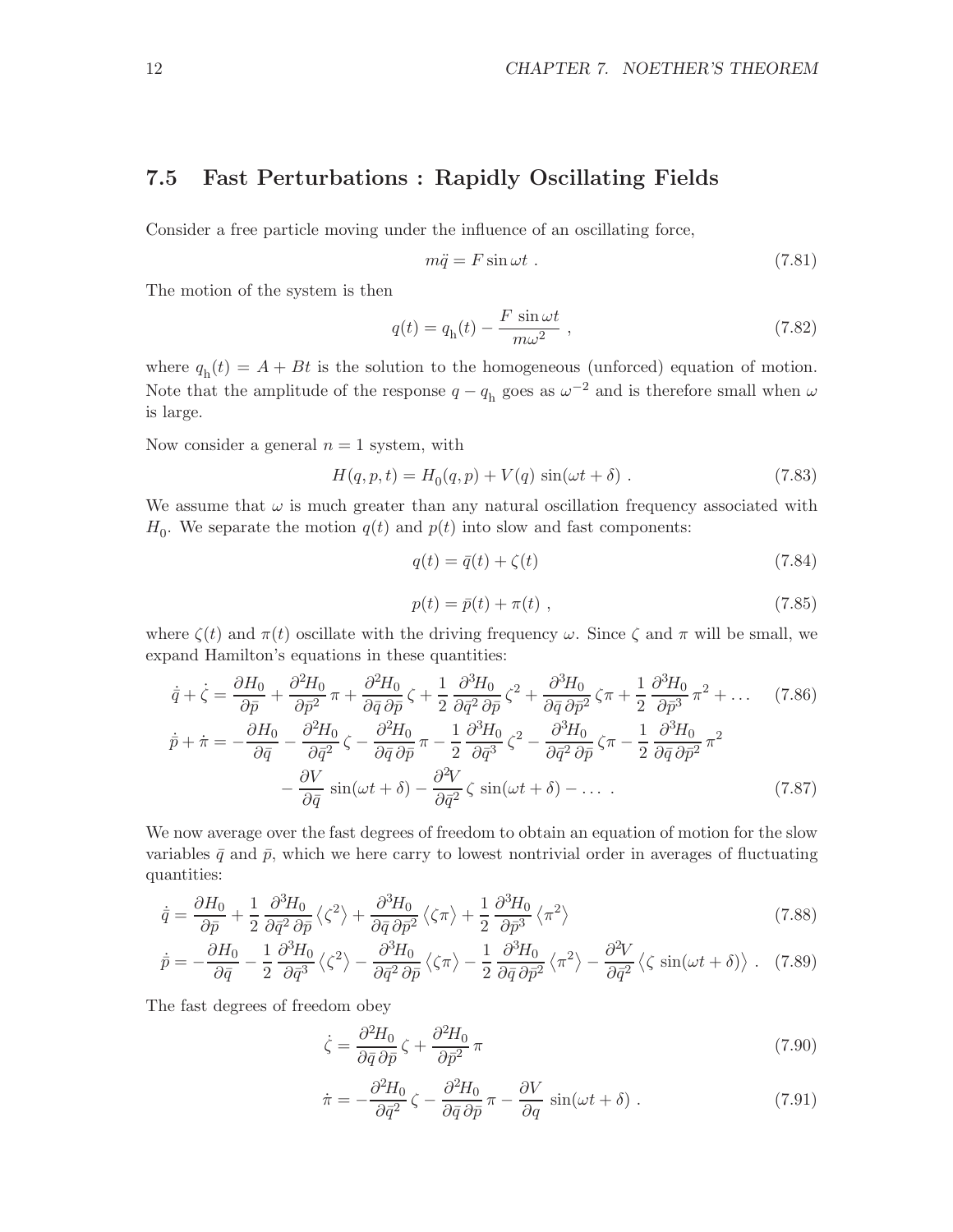### 7.5 Fast Perturbations : Rapidly Oscillating Fields

Consider a free particle moving under the influence of an oscillating force,

$$
m\ddot{q} = F\sin\omega t. \tag{7.81}
$$

The motion of the system is then

$$
q(t) = q_h(t) - \frac{F \sin \omega t}{m\omega^2} , \qquad (7.82)
$$

where  $q_h(t) = A + Bt$  is the solution to the homogeneous (unforced) equation of motion. Note that the amplitude of the response  $q - q<sub>h</sub>$  goes as  $\omega^{-2}$  and is therefore small when  $\omega$ is large.

Now consider a general  $n = 1$  system, with

$$
H(q, p, t) = H_0(q, p) + V(q) \sin(\omega t + \delta) . \qquad (7.83)
$$

We assume that  $\omega$  is much greater than any natural oscillation frequency associated with  $H_0$ . We separate the motion  $q(t)$  and  $p(t)$  into slow and fast components:

$$
q(t) = \bar{q}(t) + \zeta(t) \tag{7.84}
$$

$$
p(t) = \bar{p}(t) + \pi(t) \t\t(7.85)
$$

where  $\zeta(t)$  and  $\pi(t)$  oscillate with the driving frequency  $\omega$ . Since  $\zeta$  and  $\pi$  will be small, we expand Hamilton's equations in these quantities:

$$
\dot{\bar{q}} + \dot{\zeta} = \frac{\partial H_0}{\partial \bar{p}} + \frac{\partial^2 H_0}{\partial \bar{p}^2} \pi + \frac{\partial^2 H_0}{\partial \bar{q}} \zeta + \frac{1}{2} \frac{\partial^3 H_0}{\partial \bar{q}^2 \partial \bar{p}} \zeta^2 + \frac{\partial^3 H_0}{\partial \bar{q}} \partial \bar{p}^2 \zeta \pi + \frac{1}{2} \frac{\partial^3 H_0}{\partial \bar{p}^3} \pi^2 + \dots \quad (7.86)
$$
\n
$$
\dot{p} + \dot{\pi} = -\frac{\partial H_0}{\partial \bar{q}} - \frac{\partial^2 H_0}{\partial \bar{q}^2} \zeta - \frac{\partial^2 H_0}{\partial \bar{q}} \partial \bar{p} \pi - \frac{1}{2} \frac{\partial^3 H_0}{\partial \bar{q}^3} \zeta^2 - \frac{\partial^3 H_0}{\partial \bar{q}^2 \partial \bar{p}} \zeta \pi - \frac{1}{2} \frac{\partial^3 H_0}{\partial \bar{q}} \partial \bar{p}^2 \pi^2 - \frac{\partial V}{\partial \bar{q}} \sin(\omega t + \delta) - \frac{\partial^2 V}{\partial \bar{q}^2} \zeta \sin(\omega t + \delta) - \dots \quad (7.87)
$$

We now average over the fast degrees of freedom to obtain an equation of motion for the slow variables  $\bar{q}$  and  $\bar{p}$ , which we here carry to lowest nontrivial order in averages of fluctuating quantities:

$$
\dot{\bar{q}} = \frac{\partial H_0}{\partial \bar{p}} + \frac{1}{2} \frac{\partial^3 H_0}{\partial \bar{q}^2 \partial \bar{p}} \left\langle \zeta^2 \right\rangle + \frac{\partial^3 H_0}{\partial \bar{q} \partial \bar{p}^2} \left\langle \zeta \pi \right\rangle + \frac{1}{2} \frac{\partial^3 H_0}{\partial \bar{p}^3} \left\langle \pi^2 \right\rangle \tag{7.88}
$$

$$
\dot{\bar{p}} = -\frac{\partial H_0}{\partial \bar{q}} - \frac{1}{2} \frac{\partial^3 H_0}{\partial \bar{q}^3} \left\langle \zeta^2 \right\rangle - \frac{\partial^3 H_0}{\partial \bar{q}^2 \partial \bar{p}} \left\langle \zeta \pi \right\rangle - \frac{1}{2} \frac{\partial^3 H_0}{\partial \bar{q} \partial \bar{p}^2} \left\langle \pi^2 \right\rangle - \frac{\partial^2 V}{\partial \bar{q}^2} \left\langle \zeta \sin(\omega t + \delta) \right\rangle. \tag{7.89}
$$

The fast degrees of freedom obey

$$
\dot{\zeta} = \frac{\partial^2 H_0}{\partial \bar{q} \, \partial \bar{p}} \, \zeta + \frac{\partial^2 H_0}{\partial \bar{p}^2} \, \pi \tag{7.90}
$$

$$
\dot{\pi} = -\frac{\partial^2 H_0}{\partial \bar{q}^2} \zeta - \frac{\partial^2 H_0}{\partial \bar{q} \partial \bar{p}} \pi - \frac{\partial V}{\partial q} \sin(\omega t + \delta) . \tag{7.91}
$$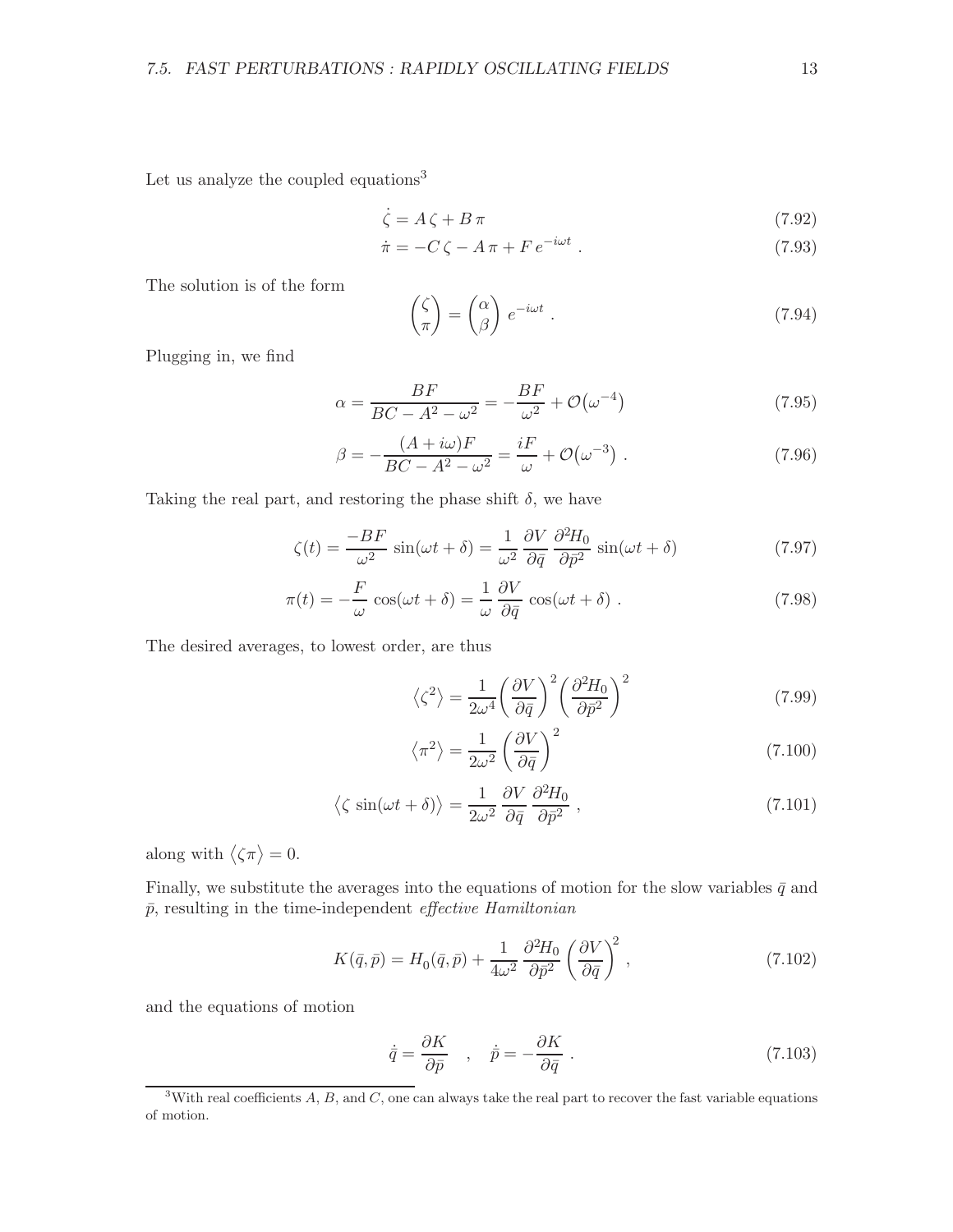Let us analyze the coupled equations<sup>3</sup>

$$
\dot{\zeta} = A\,\zeta + B\,\pi\tag{7.92}
$$

$$
\dot{\pi} = -C\,\zeta - A\,\pi + F\,e^{-i\omega t} \ . \tag{7.93}
$$

The solution is of the form

$$
\begin{pmatrix} \zeta \\ \pi \end{pmatrix} = \begin{pmatrix} \alpha \\ \beta \end{pmatrix} e^{-i\omega t} . \tag{7.94}
$$

Plugging in, we find

$$
\alpha = \frac{BF}{BC - A^2 - \omega^2} = -\frac{BF}{\omega^2} + \mathcal{O}(\omega^{-4})
$$
\n(7.95)

$$
\beta = -\frac{(A+i\omega)F}{BC - A^2 - \omega^2} = \frac{iF}{\omega} + \mathcal{O}(\omega^{-3}) \tag{7.96}
$$

Taking the real part, and restoring the phase shift  $\delta$ , we have

$$
\zeta(t) = \frac{-BF}{\omega^2} \sin(\omega t + \delta) = \frac{1}{\omega^2} \frac{\partial V}{\partial \bar{q}} \frac{\partial^2 H_0}{\partial \bar{p}^2} \sin(\omega t + \delta)
$$
(7.97)

$$
\pi(t) = -\frac{F}{\omega} \cos(\omega t + \delta) = \frac{1}{\omega} \frac{\partial V}{\partial \bar{q}} \cos(\omega t + \delta) . \tag{7.98}
$$

The desired averages, to lowest order, are thus

$$
\langle \zeta^2 \rangle = \frac{1}{2\omega^4} \left( \frac{\partial V}{\partial \bar{q}} \right)^2 \left( \frac{\partial^2 H_0}{\partial \bar{p}^2} \right)^2 \tag{7.99}
$$

$$
\langle \pi^2 \rangle = \frac{1}{2\omega^2} \left( \frac{\partial V}{\partial \bar{q}} \right)^2 \tag{7.100}
$$

$$
\langle \zeta \sin(\omega t + \delta) \rangle = \frac{1}{2\omega^2} \frac{\partial V}{\partial \bar{q}} \frac{\partial^2 H_0}{\partial \bar{p}^2} , \qquad (7.101)
$$

along with  $\langle \zeta \pi \rangle = 0$ .

Finally, we substitute the averages into the equations of motion for the slow variables  $\bar{q}$  and  $\bar{p}$ , resulting in the time-independent *effective Hamiltonian* 

$$
K(\bar{q}, \bar{p}) = H_0(\bar{q}, \bar{p}) + \frac{1}{4\omega^2} \frac{\partial^2 H_0}{\partial \bar{p}^2} \left(\frac{\partial V}{\partial \bar{q}}\right)^2, \qquad (7.102)
$$

and the equations of motion

$$
\dot{\bar{q}} = \frac{\partial K}{\partial \bar{p}} \quad , \quad \dot{\bar{p}} = -\frac{\partial K}{\partial \bar{q}} \; . \tag{7.103}
$$

<sup>&</sup>lt;sup>3</sup>With real coefficients  $A, B$ , and  $C$ , one can always take the real part to recover the fast variable equations of motion.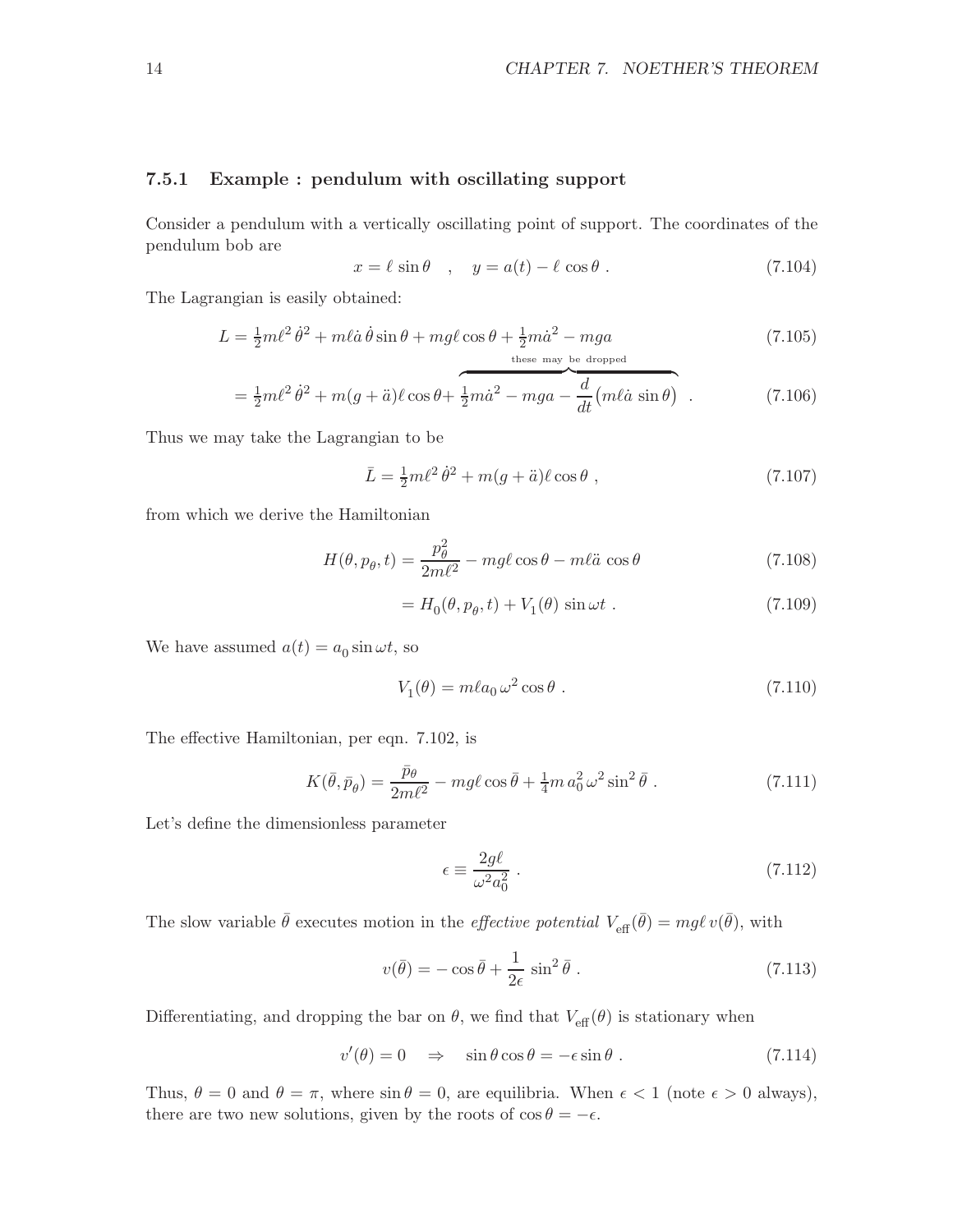#### 7.5.1 Example : pendulum with oscillating support

Consider a pendulum with a vertically oscillating point of support. The coordinates of the pendulum bob are

$$
x = \ell \sin \theta \quad , \quad y = a(t) - \ell \cos \theta \; . \tag{7.104}
$$

The Lagrangian is easily obtained:

$$
L = \frac{1}{2}m\ell^2\dot{\theta}^2 + m\ell\dot{a}\dot{\theta}\sin\theta + mg\ell\cos\theta + \frac{1}{2}m\dot{a}^2 - mga
$$
\n
$$
{}^{\text{these may be dropped}} \tag{7.105}
$$

$$
= \frac{1}{2}m\ell^2\dot{\theta}^2 + m(g+\ddot{a})\ell\cos\theta + \frac{1}{2}m\dot{a}^2 - mga - \frac{d}{dt}(m\ell\dot{a}\sin\theta) \quad . \tag{7.106}
$$

Thus we may take the Lagrangian to be

$$
\bar{L} = \frac{1}{2}m\ell^2\dot{\theta}^2 + m(g+\ddot{a})\ell\cos\theta\,,\tag{7.107}
$$

from which we derive the Hamiltonian

$$
H(\theta, p_{\theta}, t) = \frac{p_{\theta}^2}{2m\ell^2} - mg\ell\cos\theta - m\ell\ddot{a}\cos\theta
$$
 (7.108)

$$
=H_0(\theta, p_\theta, t) + V_1(\theta) \sin \omega t . \qquad (7.109)
$$

We have assumed  $a(t) = a_0 \sin \omega t$ , so

$$
V_1(\theta) = m\ell a_0 \,\omega^2 \cos \theta \,. \tag{7.110}
$$

The effective Hamiltonian, per eqn. 7.102, is

$$
K(\bar{\theta}, \bar{p}_{\theta}) = \frac{\bar{p}_{\theta}}{2m\ell^2} - mg\ell\cos\bar{\theta} + \frac{1}{4}m\,a_0^2\,\omega^2\sin^2\bar{\theta} \ . \tag{7.111}
$$

Let's define the dimensionless parameter

$$
\epsilon \equiv \frac{2g\ell}{\omega^2 a_0^2} \ . \tag{7.112}
$$

The slow variable  $\bar{\theta}$  executes motion in the *effective potential*  $V_{\text{eff}}(\bar{\theta}) = mg\ell v(\bar{\theta})$ , with

$$
v(\bar{\theta}) = -\cos\bar{\theta} + \frac{1}{2\epsilon}\sin^2\bar{\theta}.
$$
 (7.113)

Differentiating, and dropping the bar on  $\theta$ , we find that  $V_{\text{eff}}(\theta)$  is stationary when

$$
v'(\theta) = 0 \quad \Rightarrow \quad \sin \theta \cos \theta = -\epsilon \sin \theta \; . \tag{7.114}
$$

Thus,  $\theta = 0$  and  $\theta = \pi$ , where  $\sin \theta = 0$ , are equilibria. When  $\epsilon < 1$  (note  $\epsilon > 0$  always), there are two new solutions, given by the roots of  $\cos \theta = -\epsilon$ .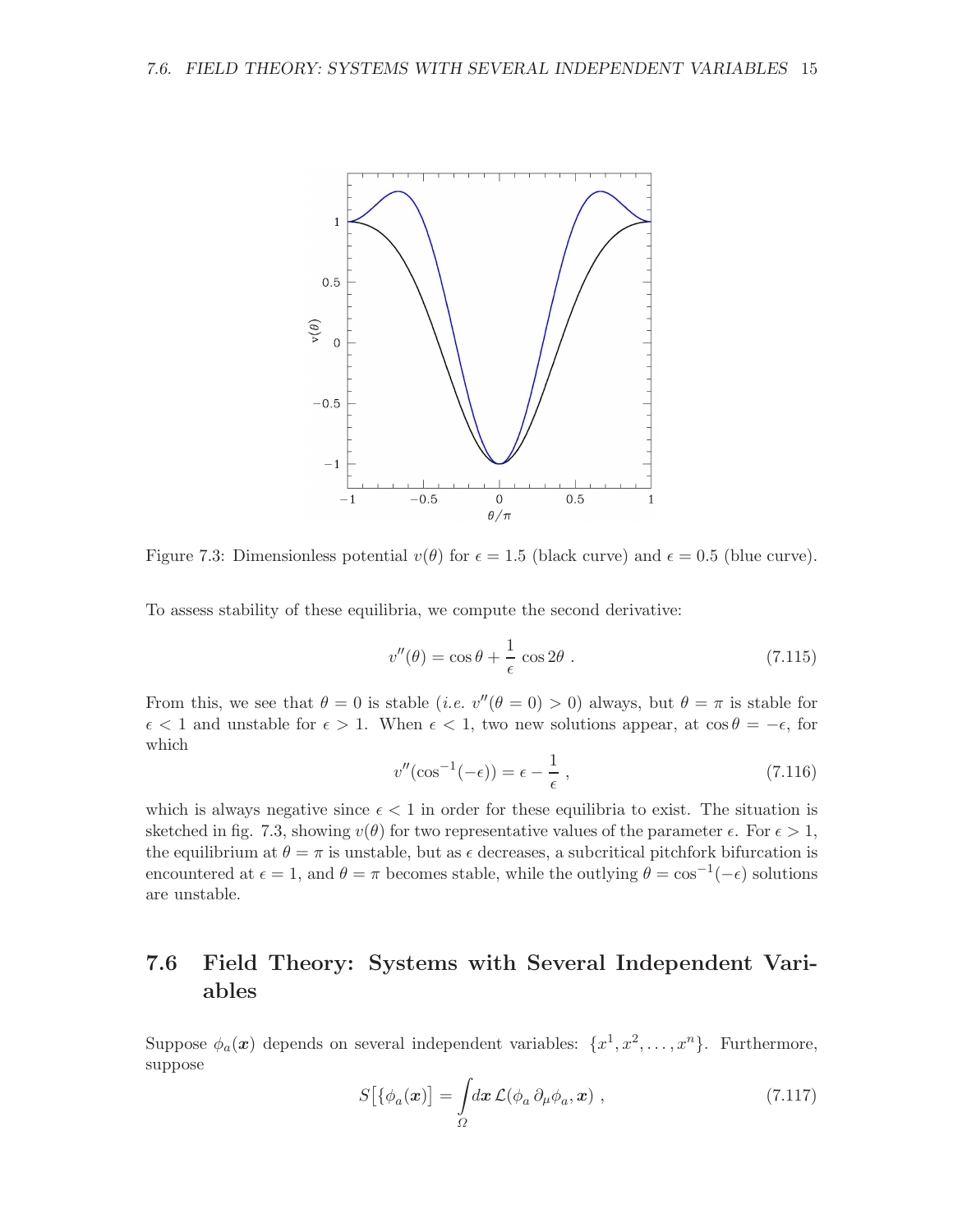

Figure 7.3: Dimensionless potential  $v(\theta)$  for  $\epsilon = 1.5$  (black curve) and  $\epsilon = 0.5$  (blue curve).

To assess stability of these equilibria, we compute the second derivative:

$$
v''(\theta) = \cos \theta + \frac{1}{\epsilon} \cos 2\theta \tag{7.115}
$$

From this, we see that  $\theta = 0$  is stable (*i.e.*  $v''(\theta = 0) > 0$ ) always, but  $\theta = \pi$  is stable for  $\epsilon$  < 1 and unstable for  $\epsilon > 1$ . When  $\epsilon$  < 1, two new solutions appear, at  $\cos \theta = -\epsilon$ , for which

$$
v''(\cos^{-1}(-\epsilon)) = \epsilon - \frac{1}{\epsilon},\qquad(7.116)
$$

which is always negative since  $\epsilon < 1$  in order for these equilibria to exist. The situation is sketched in fig. 7.3, showing  $v(\theta)$  for two representative values of the parameter  $\epsilon$ . For  $\epsilon > 1$ , the equilibrium at  $\theta = \pi$  is unstable, but as  $\epsilon$  decreases, a subcritical pitchfork bifurcation is encountered at  $\epsilon = 1$ , and  $\theta = \pi$  becomes stable, while the outlying  $\theta = \cos^{-1}(-\epsilon)$  solutions are unstable.

## 7.6 Field Theory: Systems with Several Independent Variables

Suppose  $\phi_a(\boldsymbol{x})$  depends on several independent variables:  $\{x^1, x^2, \ldots, x^n\}$ . Furthermore, suppose

$$
S\big[\{\phi_a(\mathbf{x})\big] = \int_{\Omega} dx \,\mathcal{L}(\phi_a \,\partial_\mu \phi_a, \mathbf{x})\;, \tag{7.117}
$$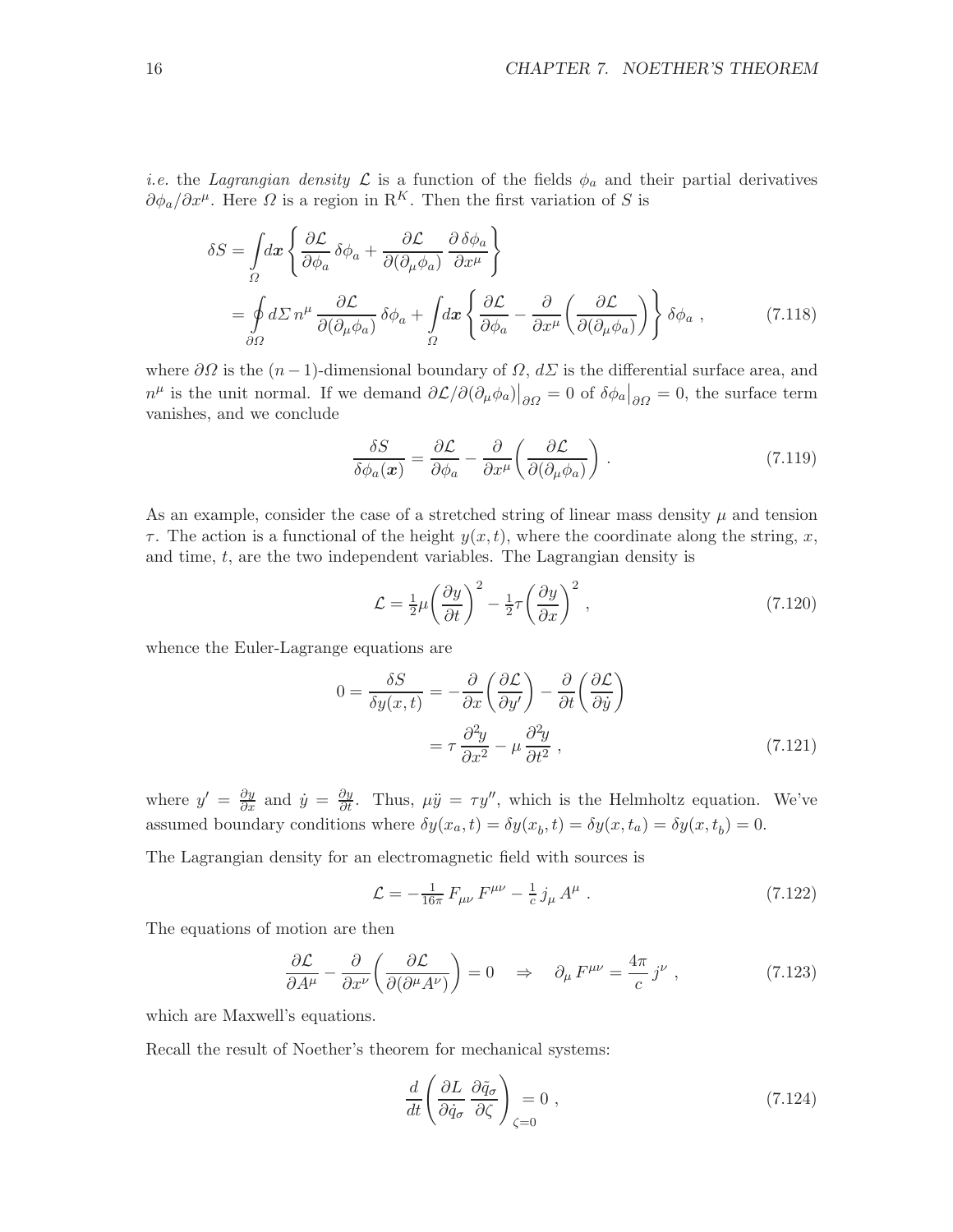*i.e.* the Lagrangian density  $\mathcal L$  is a function of the fields  $\phi_a$  and their partial derivatives  $\partial \phi_a / \partial x^{\mu}$ . Here  $\Omega$  is a region in R<sup>K</sup>. Then the first variation of S is

$$
\delta S = \int_{\Omega} dx \left\{ \frac{\partial \mathcal{L}}{\partial \phi_a} \delta \phi_a + \frac{\partial \mathcal{L}}{\partial (\partial_{\mu} \phi_a)} \frac{\partial \delta \phi_a}{\partial x^{\mu}} \right\}
$$
  
= 
$$
\oint_{\partial \Omega} d\Sigma n^{\mu} \frac{\partial \mathcal{L}}{\partial (\partial_{\mu} \phi_a)} \delta \phi_a + \int_{\Omega} dx \left\{ \frac{\partial \mathcal{L}}{\partial \phi_a} - \frac{\partial}{\partial x^{\mu}} \left( \frac{\partial \mathcal{L}}{\partial (\partial_{\mu} \phi_a)} \right) \right\} \delta \phi_a , \qquad (7.118)
$$

where  $\partial\Omega$  is the  $(n-1)$ -dimensional boundary of  $\Omega$ ,  $d\Sigma$  is the differential surface area, and  $n^{\mu}$  is the unit normal. If we demand  $\partial \mathcal{L}/\partial(\partial_{\mu}\phi_a)|_{\partial \Omega} = 0$  of  $\delta \phi_a|_{\partial \Omega} = 0$ , the surface term vanishes, and we conclude

$$
\frac{\delta S}{\delta \phi_a(\boldsymbol{x})} = \frac{\partial \mathcal{L}}{\partial \phi_a} - \frac{\partial}{\partial x^\mu} \left( \frac{\partial \mathcal{L}}{\partial (\partial_\mu \phi_a)} \right) . \tag{7.119}
$$

As an example, consider the case of a stretched string of linear mass density  $\mu$  and tension  $\tau$ . The action is a functional of the height  $y(x, t)$ , where the coordinate along the string, x, and time,  $t$ , are the two independent variables. The Lagrangian density is

$$
\mathcal{L} = \frac{1}{2}\mu \left(\frac{\partial y}{\partial t}\right)^2 - \frac{1}{2}\tau \left(\frac{\partial y}{\partial x}\right)^2, \qquad (7.120)
$$

whence the Euler-Lagrange equations are

$$
0 = \frac{\delta S}{\delta y(x,t)} = -\frac{\partial}{\partial x} \left( \frac{\partial \mathcal{L}}{\partial y'} \right) - \frac{\partial}{\partial t} \left( \frac{\partial \mathcal{L}}{\partial \dot{y}} \right)
$$

$$
= \tau \frac{\partial^2 y}{\partial x^2} - \mu \frac{\partial^2 y}{\partial t^2} , \qquad (7.121)
$$

where  $y' = \frac{\partial y}{\partial x}$  and  $\dot{y} = \frac{\partial y}{\partial t}$ . Thus,  $\mu \ddot{y} = \tau y''$ , which is the Helmholtz equation. We've assumed boundary conditions where  $\delta y(x_a, t) = \delta y(x_b, t) = \delta y(x, t_a) = \delta y(x, t_b) = 0.$ 

The Lagrangian density for an electromagnetic field with sources is

$$
\mathcal{L} = -\frac{1}{16\pi} F_{\mu\nu} F^{\mu\nu} - \frac{1}{c} j_{\mu} A^{\mu} . \qquad (7.122)
$$

The equations of motion are then

$$
\frac{\partial \mathcal{L}}{\partial A^{\mu}} - \frac{\partial}{\partial x^{\nu}} \left( \frac{\partial \mathcal{L}}{\partial (\partial^{\mu} A^{\nu})} \right) = 0 \quad \Rightarrow \quad \partial_{\mu} F^{\mu \nu} = \frac{4\pi}{c} j^{\nu} , \qquad (7.123)
$$

which are Maxwell's equations.

Recall the result of Noether's theorem for mechanical systems:

$$
\frac{d}{dt} \left( \frac{\partial L}{\partial \dot{q}_{\sigma}} \frac{\partial \tilde{q}_{\sigma}}{\partial \zeta} \right)_{\zeta=0} = 0 , \qquad (7.124)
$$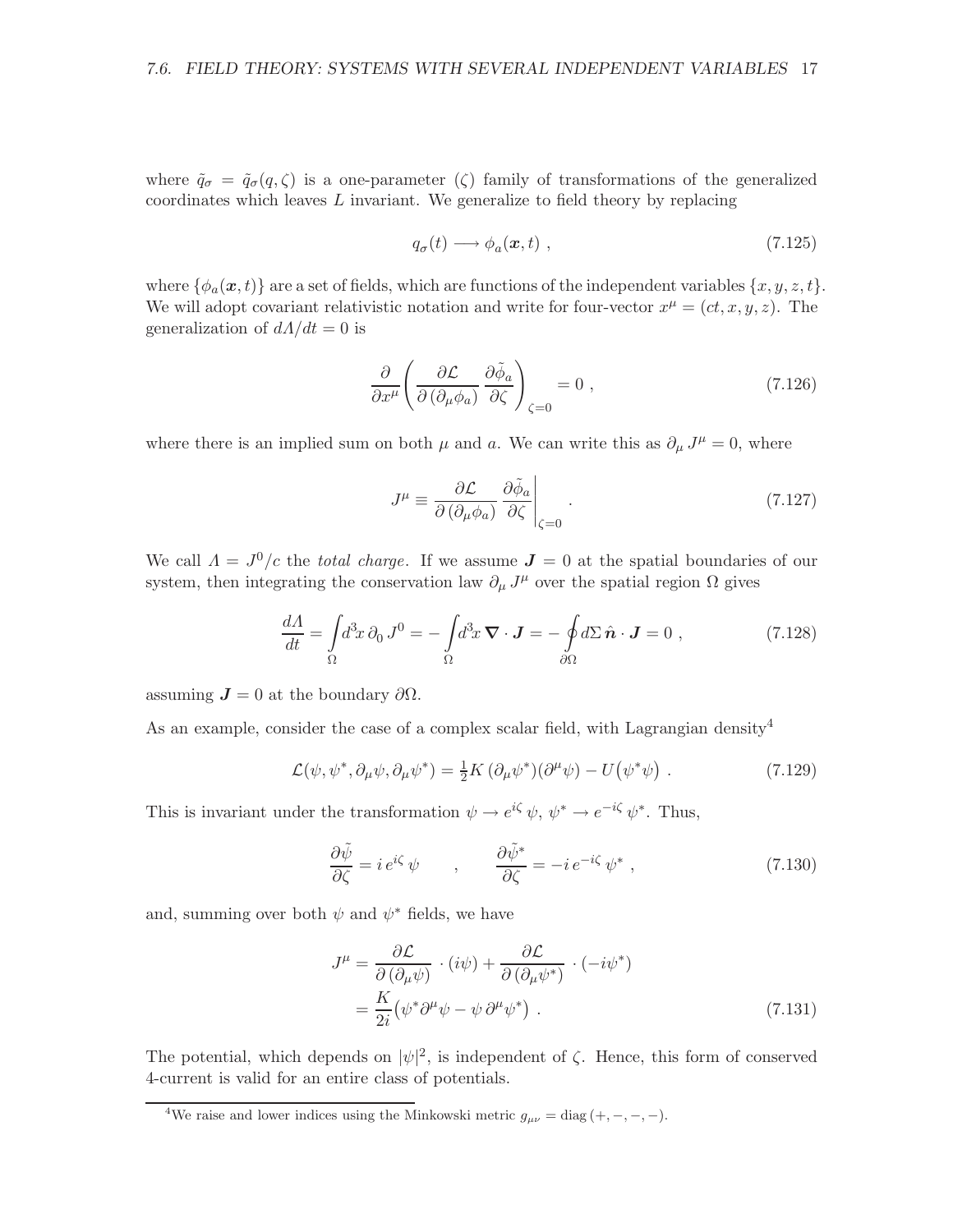where  $\tilde{q}_{\sigma} = \tilde{q}_{\sigma}(q,\zeta)$  is a one-parameter ( $\zeta$ ) family of transformations of the generalized coordinates which leaves L invariant. We generalize to field theory by replacing

$$
q_{\sigma}(t) \longrightarrow \phi_a(\mathbf{x}, t) , \qquad (7.125)
$$

where  $\{\phi_a(\mathbf{x},t)\}\)$  are a set of fields, which are functions of the independent variables  $\{x,y,z,t\}.$ We will adopt covariant relativistic notation and write for four-vector  $x^{\mu} = (ct, x, y, z)$ . The generalization of  $dA/dt = 0$  is

$$
\frac{\partial}{\partial x^{\mu}} \left( \frac{\partial \mathcal{L}}{\partial \left( \partial_{\mu} \phi_{a} \right)} \frac{\partial \tilde{\phi}_{a}}{\partial \zeta} \right)_{\zeta=0} = 0 , \qquad (7.126)
$$

where there is an implied sum on both  $\mu$  and a. We can write this as  $\partial_{\mu} J^{\mu} = 0$ , where

$$
J^{\mu} \equiv \frac{\partial \mathcal{L}}{\partial \left(\partial_{\mu} \phi_{a}\right)} \left. \frac{\partial \tilde{\phi}_{a}}{\partial \zeta} \right|_{\zeta=0} . \tag{7.127}
$$

We call  $\Lambda = J^0/c$  the *total charge*. If we assume  $J = 0$  at the spatial boundaries of our system, then integrating the conservation law  $\partial_{\mu} J^{\mu}$  over the spatial region  $\Omega$  gives

$$
\frac{dA}{dt} = \int_{\Omega} d^3x \, \partial_0 J^0 = -\int_{\Omega} d^3x \, \nabla \cdot \mathbf{J} = -\oint_{\partial \Omega} d\Sigma \, \hat{\mathbf{n}} \cdot \mathbf{J} = 0 \;, \tag{7.128}
$$

assuming  $J = 0$  at the boundary  $\partial \Omega$ .

As an example, consider the case of a complex scalar field, with Lagrangian density<sup>4</sup>

$$
\mathcal{L}(\psi, \psi^*, \partial_\mu \psi, \partial_\mu \psi^*) = \frac{1}{2} K \left( \partial_\mu \psi^* \right) (\partial^\mu \psi) - U \left( \psi^* \psi \right) . \tag{7.129}
$$

This is invariant under the transformation  $\psi \to e^{i\zeta} \psi$ ,  $\psi^* \to e^{-i\zeta} \psi^*$ . Thus,

$$
\frac{\partial \tilde{\psi}}{\partial \zeta} = i e^{i\zeta} \psi \qquad , \qquad \frac{\partial \tilde{\psi}^*}{\partial \zeta} = -i e^{-i\zeta} \psi^* \ , \tag{7.130}
$$

and, summing over both  $\psi$  and  $\psi^*$  fields, we have

$$
J^{\mu} = \frac{\partial \mathcal{L}}{\partial (\partial_{\mu} \psi)} \cdot (i\psi) + \frac{\partial \mathcal{L}}{\partial (\partial_{\mu} \psi^{*})} \cdot (-i\psi^{*})
$$
  
=  $\frac{K}{2i} (\psi^{*} \partial^{\mu} \psi - \psi \partial^{\mu} \psi^{*})$ . (7.131)

The potential, which depends on  $|\psi|^2$ , is independent of  $\zeta$ . Hence, this form of conserved 4-current is valid for an entire class of potentials.

<sup>&</sup>lt;sup>4</sup>We raise and lower indices using the Minkowski metric  $g_{\mu\nu} = \text{diag}(+,-,-,-)$ .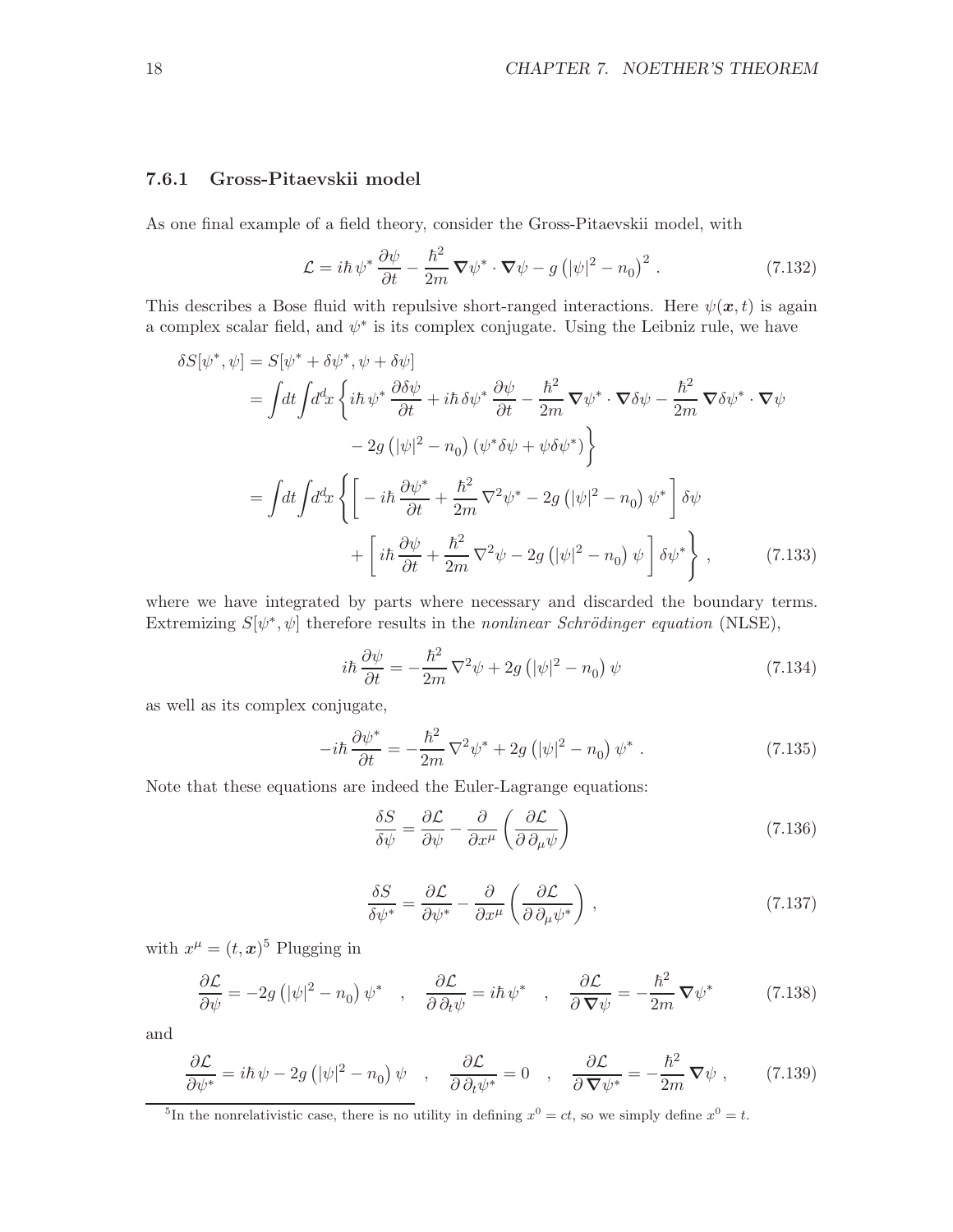#### 7.6.1 Gross-Pitaevskii model

As one final example of a field theory, consider the Gross-Pitaevskii model, with

$$
\mathcal{L} = i\hbar \,\psi^* \frac{\partial \psi}{\partial t} - \frac{\hbar^2}{2m} \,\mathbf{\nabla}\psi^* \cdot \mathbf{\nabla}\psi - g\left(|\psi|^2 - n_0\right)^2. \tag{7.132}
$$

This describes a Bose fluid with repulsive short-ranged interactions. Here  $\psi(x,t)$  is again a complex scalar field, and  $\psi^*$  is its complex conjugate. Using the Leibniz rule, we have

$$
\delta S[\psi^*, \psi] = S[\psi^* + \delta \psi^*, \psi + \delta \psi]
$$
  
\n
$$
= \int dt \int d^d x \left\{ i\hbar \psi^* \frac{\partial \delta \psi}{\partial t} + i\hbar \delta \psi^* \frac{\partial \psi}{\partial t} - \frac{\hbar^2}{2m} \nabla \psi^* \cdot \nabla \delta \psi - \frac{\hbar^2}{2m} \nabla \delta \psi^* \cdot \nabla \psi \right\}
$$
  
\n
$$
- 2g \left( |\psi|^2 - n_0 \right) \left( \psi^* \delta \psi + \psi \delta \psi^* \right) \right\}
$$
  
\n
$$
= \int dt \int d^d x \left\{ \left[ -i\hbar \frac{\partial \psi^*}{\partial t} + \frac{\hbar^2}{2m} \nabla^2 \psi^* - 2g \left( |\psi|^2 - n_0 \right) \psi^* \right] \delta \psi
$$
  
\n
$$
+ \left[ i\hbar \frac{\partial \psi}{\partial t} + \frac{\hbar^2}{2m} \nabla^2 \psi - 2g \left( |\psi|^2 - n_0 \right) \psi \right] \delta \psi^* \right\}, \qquad (7.133)
$$

where we have integrated by parts where necessary and discarded the boundary terms. Extremizing  $S[\psi^*, \psi]$  therefore results in the nonlinear Schrödinger equation (NLSE),

$$
i\hbar \frac{\partial \psi}{\partial t} = -\frac{\hbar^2}{2m} \nabla^2 \psi + 2g \left( |\psi|^2 - n_0 \right) \psi \tag{7.134}
$$

as well as its complex conjugate,

$$
-i\hbar \frac{\partial \psi^*}{\partial t} = -\frac{\hbar^2}{2m} \nabla^2 \psi^* + 2g \left( |\psi|^2 - n_0 \right) \psi^* . \tag{7.135}
$$

Note that these equations are indeed the Euler-Lagrange equations:

$$
\frac{\delta S}{\delta \psi} = \frac{\partial \mathcal{L}}{\partial \psi} - \frac{\partial}{\partial x^{\mu}} \left( \frac{\partial \mathcal{L}}{\partial \partial_{\mu} \psi} \right)
$$
(7.136)

$$
\frac{\delta S}{\delta \psi^*} = \frac{\partial \mathcal{L}}{\partial \psi^*} - \frac{\partial}{\partial x^\mu} \left( \frac{\partial \mathcal{L}}{\partial \partial_\mu \psi^*} \right) ,\qquad (7.137)
$$

with  $x^{\mu} = (t, x)^5$  Plugging in

$$
\frac{\partial \mathcal{L}}{\partial \psi} = -2g \left( |\psi|^2 - n_0 \right) \psi^* \quad , \quad \frac{\partial \mathcal{L}}{\partial \partial_t \psi} = i\hbar \psi^* \quad , \quad \frac{\partial \mathcal{L}}{\partial \nabla \psi} = -\frac{\hbar^2}{2m} \nabla \psi^* \tag{7.138}
$$

and

$$
\frac{\partial \mathcal{L}}{\partial \psi^*} = i\hbar \,\psi - 2g \left( |\psi|^2 - n_0 \right) \psi \quad , \quad \frac{\partial \mathcal{L}}{\partial \,\partial_t \psi^*} = 0 \quad , \quad \frac{\partial \mathcal{L}}{\partial \,\nabla \psi^*} = -\frac{\hbar^2}{2m} \,\nabla \psi \;, \tag{7.139}
$$

<sup>&</sup>lt;sup>5</sup>In the nonrelativistic case, there is no utility in defining  $x^0 = ct$ , so we simply define  $x^0 = t$ .